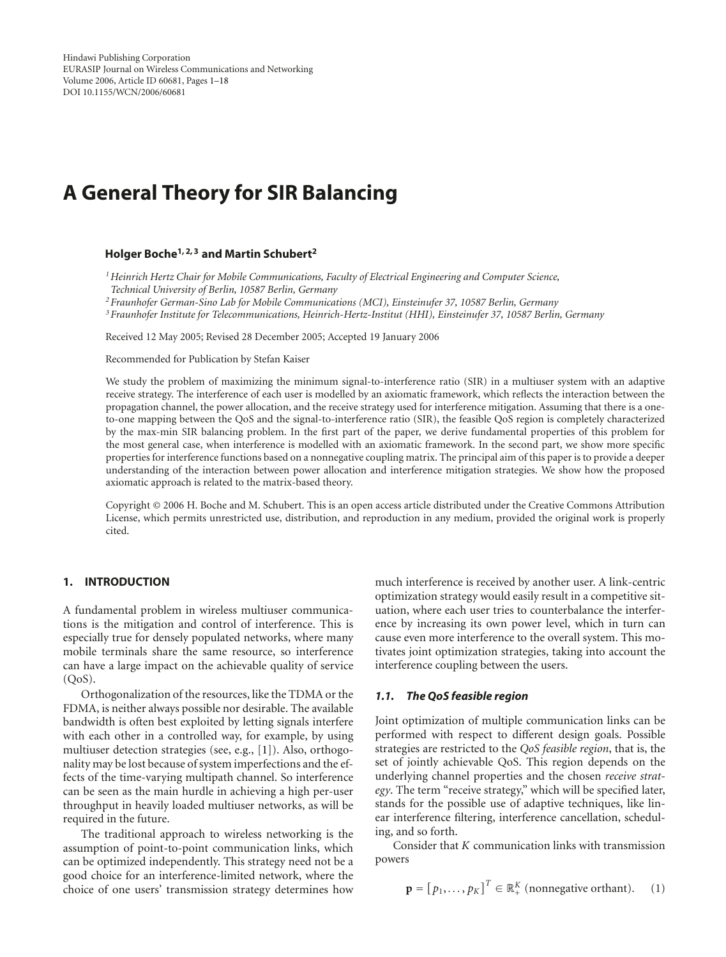# **A General Theory for SIR Balancing**

# **Holger Boche1, 2, 3 and Martin Schubert2**

*1Heinrich Hertz Chair for Mobile Communications, Faculty of Electrical Engineering and Computer Science, Technical University of Berlin, 10587 Berlin, Germany*

*<sup>2</sup> Fraunhofer German-Sino Lab for Mobile Communications (MCI), Einsteinufer 37, 10587 Berlin, Germany*

*<sup>3</sup> Fraunhofer Institute for Telecommunications, Heinrich-Hertz-Institut (HHI), Einsteinufer 37, 10587 Berlin, Germany*

Received 12 May 2005; Revised 28 December 2005; Accepted 19 January 2006

Recommended for Publication by Stefan Kaiser

We study the problem of maximizing the minimum signal-to-interference ratio (SIR) in a multiuser system with an adaptive receive strategy. The interference of each user is modelled by an axiomatic framework, which reflects the interaction between the propagation channel, the power allocation, and the receive strategy used for interference mitigation. Assuming that there is a oneto-one mapping between the QoS and the signal-to-interference ratio (SIR), the feasible QoS region is completely characterized by the max-min SIR balancing problem. In the first part of the paper, we derive fundamental properties of this problem for the most general case, when interference is modelled with an axiomatic framework. In the second part, we show more specific properties for interference functions based on a nonnegative coupling matrix. The principal aim of this paper is to provide a deeper understanding of the interaction between power allocation and interference mitigation strategies. We show how the proposed axiomatic approach is related to the matrix-based theory.

Copyright © 2006 H. Boche and M. Schubert. This is an open access article distributed under the Creative Commons Attribution License, which permits unrestricted use, distribution, and reproduction in any medium, provided the original work is properly cited.

#### **1. INTRODUCTION**

A fundamental problem in wireless multiuser communications is the mitigation and control of interference. This is especially true for densely populated networks, where many mobile terminals share the same resource, so interference can have a large impact on the achievable quality of service  $(QoS)$ .

Orthogonalization of the resources, like the TDMA or the FDMA, is neither always possible nor desirable. The available bandwidth is often best exploited by letting signals interfere with each other in a controlled way, for example, by using multiuser detection strategies (see, e.g., [\[1](#page-16-1)]). Also, orthogonality may be lost because of system imperfections and the effects of the time-varying multipath channel. So interference can be seen as the main hurdle in achieving a high per-user throughput in heavily loaded multiuser networks, as will be required in the future.

The traditional approach to wireless networking is the assumption of point-to-point communication links, which can be optimized independently. This strategy need not be a good choice for an interference-limited network, where the choice of one users' transmission strategy determines how

much interference is received by another user. A link-centric optimization strategy would easily result in a competitive situation, where each user tries to counterbalance the interference by increasing its own power level, which in turn can cause even more interference to the overall system. This motivates joint optimization strategies, taking into account the interference coupling between the users.

#### *1.1. The QoS feasible region*

Joint optimization of multiple communication links can be performed with respect to different design goals. Possible strategies are restricted to the *QoS feasible region*, that is, the set of jointly achievable QoS. This region depends on the underlying channel properties and the chosen *receive strategy*. The term "receive strategy," which will be specified later, stands for the possible use of adaptive techniques, like linear interference filtering, interference cancellation, scheduling, and so forth.

Consider that *K* communication links with transmission powers

$$
\mathbf{p} = [p_1, \dots, p_K]^T \in \mathbb{R}_+^K \text{ (nonnegative orthant)}. \quad (1)
$$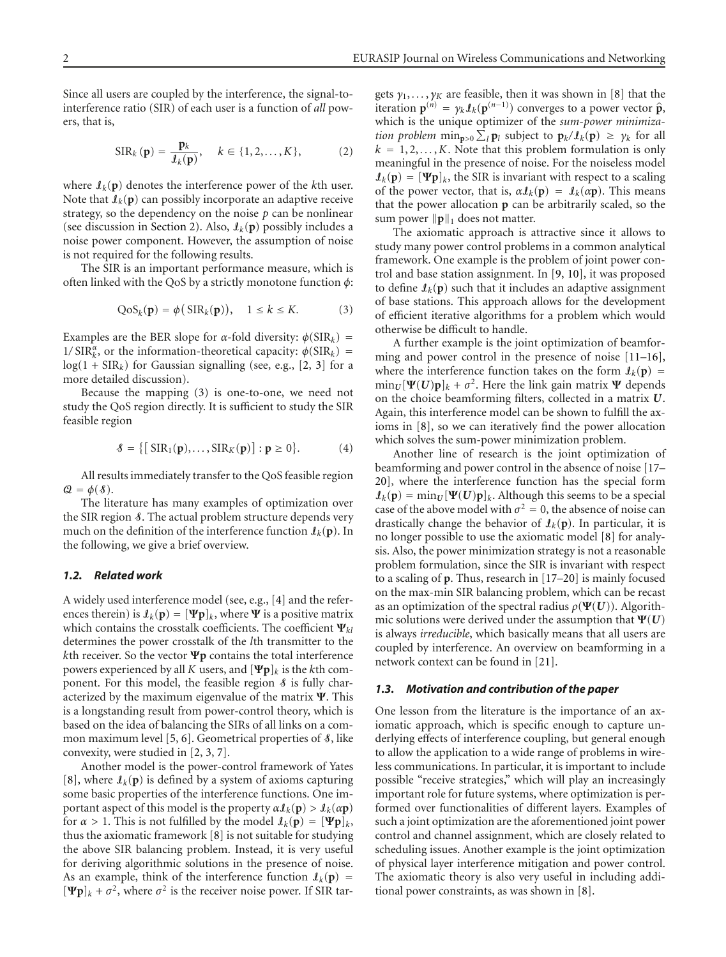Since all users are coupled by the interference, the signal-tointerference ratio (SIR) of each user is a function of *all* powers, that is,

$$
SIR_{k}(\mathbf{p}) = \frac{\mathbf{p}_{k}}{l_{k}(\mathbf{p})}, \quad k \in \{1, 2, \dots, K\},
$$
 (2)

where  $I_k(p)$  denotes the interference power of the *k*th user. Note that  $\mathbf{I}_k(\mathbf{p})$  can possibly incorporate an adaptive receive strategy, so the dependency on the noise  $p$  can be nonlinear (see discussion in [Section 2\)](#page-2-0). Also,  $\mathcal{I}_k(\mathbf{p})$  possibly includes a noise power component. However, the assumption of noise is not required for the following results.

The SIR is an important performance measure, which is often linked with the QoS by a strictly monotone function *φ*:

<span id="page-1-0"></span>
$$
QoSk(p) = \phi(SIRk(p)), \quad 1 \le k \le K.
$$
 (3)

Examples are the BER slope for *<sup>α</sup>*-fold diversity: *<sup>φ</sup>*(SIR*k*) <sup>=</sup> 1/  $\text{SIR}_k^{\alpha}$ , or the information-theoretical capacity:  $\phi(\text{SIR}_k)$  =  $log(1 + SIR_k)$  for Gaussian signalling (see, e.g., [\[2](#page-16-2), [3\]](#page-16-3) for a more detailed discussion).

Because the mapping [\(3\)](#page-1-0) is one-to-one, we need not study the QoS region directly. It is sufficient to study the SIR feasible region

$$
\mathcal{S} = \{ \left[ \operatorname{SIR}_1(\mathbf{p}), \dots, \operatorname{SIR}_K(\mathbf{p}) \right] : \mathbf{p} \ge 0 \}. \tag{4}
$$

All results immediately transfer to the QoS feasible region  $\mathcal{Q} = \phi(\mathcal{S}).$ 

The literature has many examples of optimization over the SIR region  $\delta$ . The actual problem structure depends very much on the definition of the interference function  $\mathbf{I}_k(\mathbf{p})$ . In the following, we give a brief overview.

# <span id="page-1-1"></span>*1.2. Related work*

A widely used interference model (see, e.g., [\[4\]](#page-16-4) and the references therein) is  $\mathbf{I}_k(\mathbf{p}) = [\Psi \mathbf{p}]_k$ , where  $\Psi$  is a positive matrix which contains the crosstalk coefficients. The coefficient **Ψ***kl* determines the power crosstalk of the *l*th transmitter to the *k*th receiver. So the vector **Ψp** contains the total interference powers experienced by all *K* users, and  $[\Psi \mathbf{p}]_k$  is the *k*th component. For this model, the feasible region  $\delta$  is fully characterized by the maximum eigenvalue of the matrix **Ψ**. This is a longstanding result from power-control theory, which is based on the idea of balancing the SIRs of all links on a com-mon maximum level [\[5](#page-16-5), [6\]](#page-16-6). Geometrical properties of  $\delta$ , like convexity, were studied in [\[2](#page-16-2), [3,](#page-16-3) [7](#page-16-7)].

Another model is the power-control framework of Yates [\[8\]](#page-16-8), where  $I_k(p)$  is defined by a system of axioms capturing some basic properties of the interference functions. One important aspect of this model is the property  $\alpha \mathcal{I}_k(\mathbf{p}) > \mathcal{I}_k(\alpha \mathbf{p})$ for  $\alpha > 1$ . This is not fulfilled by the model  $\mathbf{I}_k(\mathbf{p}) = [\Psi \mathbf{p}]_k$ , thus the axiomatic framework [\[8\]](#page-16-8) is not suitable for studying the above SIR balancing problem. Instead, it is very useful for deriving algorithmic solutions in the presence of noise. As an example, think of the interference function  $\mathbf{I}_k(\mathbf{p}) =$  $[\Psi \mathbf{p}]_k + \sigma^2$ , where  $\sigma^2$  is the receiver noise power. If SIR tar<span id="page-1-2"></span>gets  $\gamma_1, \ldots, \gamma_K$  are feasible, then it was shown in [\[8\]](#page-16-8) that the iteration  $\mathbf{p}^{(n)} = \gamma_k \mathbf{I}_k(\mathbf{p}^{(n-1)})$  converges to a power vector  $\hat{\mathbf{p}}$ , which is the unique optimizer of the *sum-power minimization problem*  $\min_{\mathbf{p} > 0} \sum_{l}^{\infty} p_l$  subject to  $\mathbf{p}_k / \mathbf{I}_k(\mathbf{p}) \geq \gamma_k$  for all  $k = 1, 2, \ldots, K$ . Note that this problem formulation is only meaningful in the presence of noise. For the noiseless model  $\mathbf{I}_k(\mathbf{p}) = [\Psi \mathbf{p}]_k$ , the SIR is invariant with respect to a scaling of the power vector, that is,  $\alpha \mathcal{I}_k(\mathbf{p}) = \mathcal{I}_k(\alpha \mathbf{p})$ . This means that the power allocation **p** can be arbitrarily scaled, so the sum power  $\|\mathbf{p}\|_1$  does not matter.

The axiomatic approach is attractive since it allows to study many power control problems in a common analytical framework. One example is the problem of joint power control and base station assignment. In [\[9](#page-16-9), [10\]](#page-16-10), it was proposed to define  $I_k(p)$  such that it includes an adaptive assignment of base stations. This approach allows for the development of efficient iterative algorithms for a problem which would otherwise be difficult to handle.

A further example is the joint optimization of beamforming and power control in the presence of noise [\[11](#page-16-11)[–16](#page-16-12)], where the interference function takes on the form  $\mathbf{I}_k(\mathbf{p}) =$  $\min_U [\Psi(U)\mathbf{p}]_k + \sigma^2$ . Here the link gain matrix  $\Psi$  depends on the choice beamforming filters, collected in a matrix *U*. Again, this interference model can be shown to fulfill the axioms in [\[8\]](#page-16-8), so we can iteratively find the power allocation which solves the sum-power minimization problem.

Another line of research is the joint optimization of beamforming and power control in the absence of noise [\[17](#page-16-13)– [20\]](#page-16-14), where the interference function has the special form  $\mathcal{I}_k(\mathbf{p}) = \min_U [\Psi(\mathbf{U})\mathbf{p}]_k$ . Although this seems to be a special case of the above model with  $\sigma^2 = 0$ , the absence of noise can drastically change the behavior of  $\mathcal{I}_k(\mathbf{p})$ . In particular, it is no longer possible to use the axiomatic model [\[8](#page-16-8)] for analysis. Also, the power minimization strategy is not a reasonable problem formulation, since the SIR is invariant with respect to a scaling of **p**. Thus, research in [\[17](#page-16-13)[–20](#page-16-14)] is mainly focused on the max-min SIR balancing problem, which can be recast as an optimization of the spectral radius  $\rho(\Psi(U))$ . Algorithmic solutions were derived under the assumption that  $\Psi(U)$ is always *irreducible*, which basically means that all users are coupled by interference. An overview on beamforming in a network context can be found in [\[21](#page-16-15)].

#### *1.3. Motivation and contribution of the paper*

One lesson from the literature is the importance of an axiomatic approach, which is specific enough to capture underlying effects of interference coupling, but general enough to allow the application to a wide range of problems in wireless communications. In particular, it is important to include possible "receive strategies," which will play an increasingly important role for future systems, where optimization is performed over functionalities of different layers. Examples of such a joint optimization are the aforementioned joint power control and channel assignment, which are closely related to scheduling issues. Another example is the joint optimization of physical layer interference mitigation and power control. The axiomatic theory is also very useful in including additional power constraints, as was shown in [\[8\]](#page-16-8).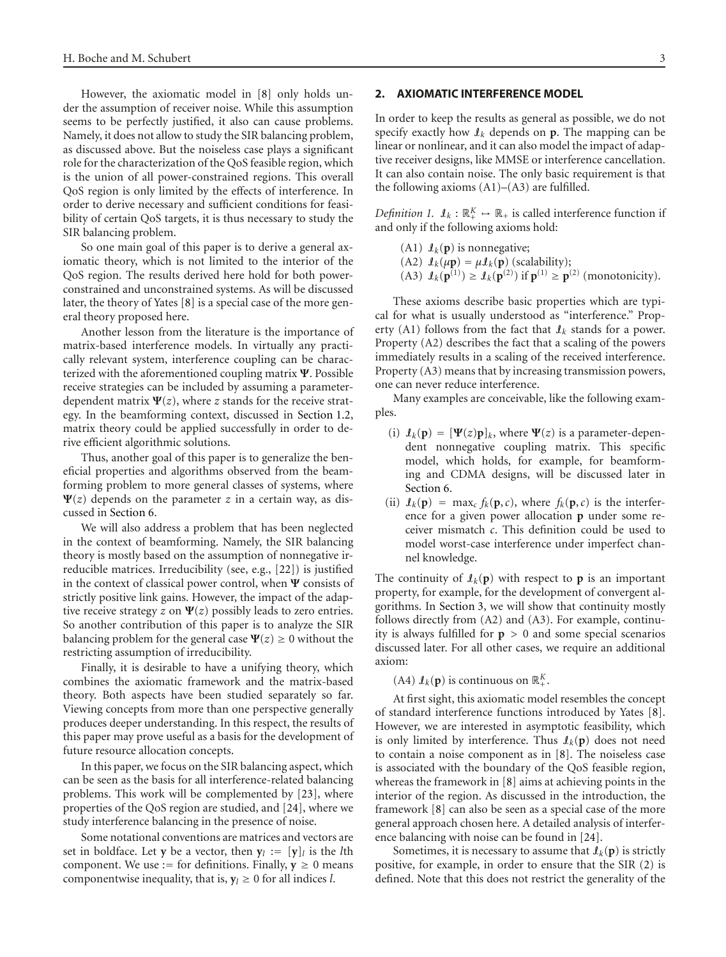However, the axiomatic model in [\[8](#page-16-8)] only holds under the assumption of receiver noise. While this assumption seems to be perfectly justified, it also can cause problems. Namely, it does not allow to study the SIR balancing problem, as discussed above. But the noiseless case plays a significant role for the characterization of the QoS feasible region, which is the union of all power-constrained regions. This overall QoS region is only limited by the effects of interference. In order to derive necessary and sufficient conditions for feasibility of certain QoS targets, it is thus necessary to study the SIR balancing problem.

So one main goal of this paper is to derive a general axiomatic theory, which is not limited to the interior of the QoS region. The results derived here hold for both powerconstrained and unconstrained systems. As will be discussed later, the theory of Yates [\[8\]](#page-16-8) is a special case of the more general theory proposed here.

Another lesson from the literature is the importance of matrix-based interference models. In virtually any practically relevant system, interference coupling can be characterized with the aforementioned coupling matrix **Ψ**. Possible receive strategies can be included by assuming a parameterdependent matrix  $\Psi(z)$ , where *z* stands for the receive strategy. In the beamforming context, discussed in [Section 1.2,](#page-1-1) matrix theory could be applied successfully in order to derive efficient algorithmic solutions.

Thus, another goal of this paper is to generalize the beneficial properties and algorithms observed from the beamforming problem to more general classes of systems, where  $\Psi(z)$  depends on the parameter *z* in a certain way, as discussed in [Section 6.](#page-10-0)

We will also address a problem that has been neglected in the context of beamforming. Namely, the SIR balancing theory is mostly based on the assumption of nonnegative irreducible matrices. Irreducibility (see, e.g., [\[22](#page-16-16)]) is justified in the context of classical power control, when **Ψ** consists of strictly positive link gains. However, the impact of the adaptive receive strategy *z* on **Ψ**(*z*) possibly leads to zero entries. So another contribution of this paper is to analyze the SIR balancing problem for the general case  $\Psi(z) \geq 0$  without the restricting assumption of irreducibility.

Finally, it is desirable to have a unifying theory, which combines the axiomatic framework and the matrix-based theory. Both aspects have been studied separately so far. Viewing concepts from more than one perspective generally produces deeper understanding. In this respect, the results of this paper may prove useful as a basis for the development of future resource allocation concepts.

In this paper, we focus on the SIR balancing aspect, which can be seen as the basis for all interference-related balancing problems. This work will be complemented by [\[23\]](#page-16-17), where properties of the QoS region are studied, and [\[24\]](#page-16-18), where we study interference balancing in the presence of noise.

Some notational conventions are matrices and vectors are set in boldface. Let **y** be a vector, then  $y_l := [y]_l$  is the *l*th component. We use := for definitions. Finally,  $y \ge 0$  means componentwise inequality, that is,  $y_l \geq 0$  for all indices *l*.

# <span id="page-2-0"></span>**2. AXIOMATIC INTERFERENCE MODEL**

In order to keep the results as general as possible, we do not specify exactly how  $\mathcal{I}_k$  depends on **p**. The mapping can be linear or nonlinear, and it can also model the impact of adaptive receiver designs, like MMSE or interference cancellation. It can also contain noise. The only basic requirement is that the following axioms  $(A1)$ – $(A3)$  are fulfilled.

*Definition 1.*  $\mathbf{I}_k : \mathbb{R}_+^K \to \mathbb{R}_+$  is called interference function if and only if the following axioms hold:

- (A1)  $\mathcal{I}_k(\mathbf{p})$  is nonnegative;
- (A2)  $\mathcal{I}_k(\mu \mathbf{p}) = \mu \mathcal{I}_k(\mathbf{p})$  (scalability);
- (A3)  $I_k(\mathbf{p}^{(1)}) \ge I_k(\mathbf{p}^{(2)})$  if  $\mathbf{p}^{(1)} \ge \mathbf{p}^{(2)}$  (monotonicity).

These axioms describe basic properties which are typical for what is usually understood as "interference." Property (A1) follows from the fact that  $\mathcal{I}_k$  stands for a power. Property (A2) describes the fact that a scaling of the powers immediately results in a scaling of the received interference. Property (A3) means that by increasing transmission powers, one can never reduce interference.

Many examples are conceivable, like the following examples.

- (i)  $I_k(\mathbf{p}) = [\Psi(z)\mathbf{p}]_k$ , where  $\Psi(z)$  is a parameter-dependent nonnegative coupling matrix. This specific model, which holds, for example, for beamforming and CDMA designs, will be discussed later in [Section 6.](#page-10-0)
- (ii)  $\mathcal{I}_k(\mathbf{p}) = \max_c f_k(\mathbf{p}, c)$ , where  $f_k(\mathbf{p}, c)$  is the interference for a given power allocation **p** under some receiver mismatch *c*. This definition could be used to model worst-case interference under imperfect channel knowledge.

The continuity of  $\mathcal{I}_k(\mathbf{p})$  with respect to **p** is an important property, for example, for the development of convergent algorithms. In [Section 3,](#page-3-0) we will show that continuity mostly follows directly from (A2) and (A3). For example, continuity is always fulfilled for **p** *>* 0 and some special scenarios discussed later. For all other cases, we require an additional axiom:

# (A4)  $\mathcal{I}_k(\mathbf{p})$  is continuous on  $\mathbb{R}^K_+$ .

At first sight, this axiomatic model resembles the concept of standard interference functions introduced by Yates [\[8](#page-16-8)]. However, we are interested in asymptotic feasibility, which is only limited by interference. Thus  $\mathcal{I}_k(\mathbf{p})$  does not need to contain a noise component as in [\[8\]](#page-16-8). The noiseless case is associated with the boundary of the QoS feasible region, whereas the framework in [\[8\]](#page-16-8) aims at achieving points in the interior of the region. As discussed in the introduction, the framework [\[8\]](#page-16-8) can also be seen as a special case of the more general approach chosen here. A detailed analysis of interference balancing with noise can be found in [\[24](#page-16-18)].

Sometimes, it is necessary to assume that  $\mathcal{I}_k(\mathbf{p})$  is strictly positive, for example, in order to ensure that the SIR [\(2\)](#page-1-2) is defined. Note that this does not restrict the generality of the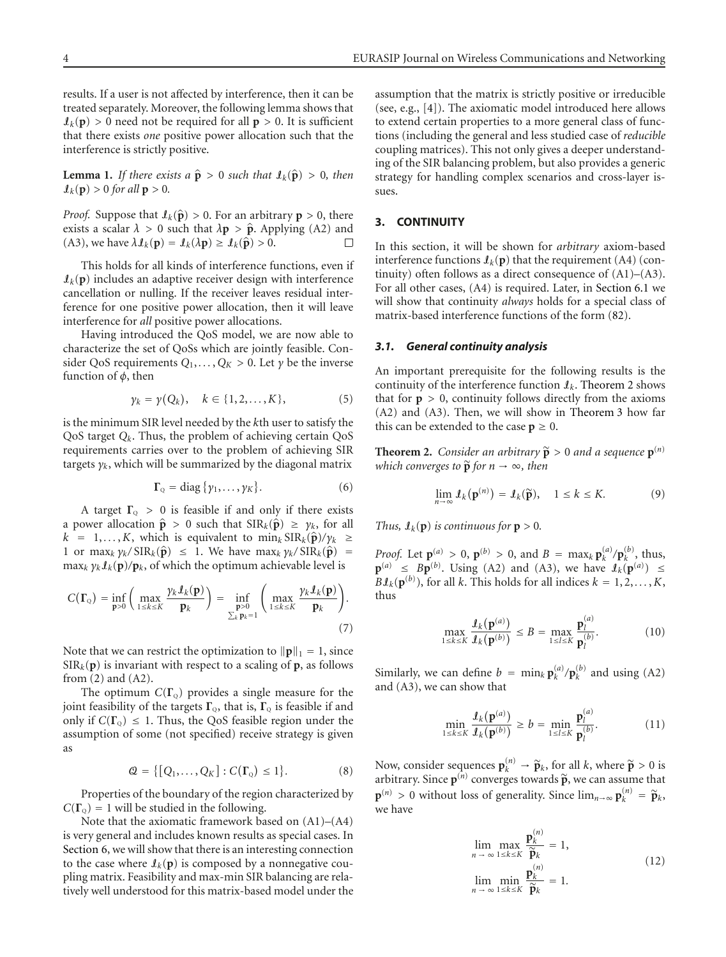results. If a user is not affected by interference, then it can be treated separately. Moreover, the following lemma shows that  $\mathcal{I}_k(\mathbf{p}) > 0$  need not be required for all  $\mathbf{p} > 0$ . It is sufficient that there exists *one* positive power allocation such that the interference is strictly positive.

<span id="page-3-5"></span>**Lemma 1.** *If there exists a*  $\hat{\mathbf{p}} > 0$  *such that*  $\mathbf{I}_k(\hat{\mathbf{p}}) > 0$ *, then*  $\mathbf{I}_k(\mathbf{p}) > 0$  for all  $\mathbf{p} > 0$ .

*Proof.* Suppose that  $\mathcal{I}_k(\hat{\mathbf{p}}) > 0$ . For an arbitrary  $\mathbf{p} > 0$ , there exists a scalar  $\lambda > 0$  such that  $\lambda \mathbf{p} > \hat{\mathbf{p}}$ . Applying (A2) and (A3), we have  $\lambda \mathbf{1}_{\ell}(\mathbf{p}) = \mathbf{1}_{\ell}(\lambda \mathbf{p}) \ge \mathbf{1}_{\ell}(\hat{\mathbf{p}}) > 0$ . (A3), we have  $\lambda \mathcal{I}_k(\mathbf{p}) = \mathcal{I}_k(\lambda \mathbf{p}) \geq \mathcal{I}_k(\hat{\mathbf{p}}) > 0$ .

This holds for all kinds of interference functions, even if  $\mathbf{I}_k(\mathbf{p})$  includes an adaptive receiver design with interference cancellation or nulling. If the receiver leaves residual interference for one positive power allocation, then it will leave interference for *all* positive power allocations.

Having introduced the QoS model, we are now able to characterize the set of QoSs which are jointly feasible. Consider QoS requirements  $Q_1, \ldots, Q_K > 0$ . Let  $\gamma$  be the inverse function of *φ*, then

$$
\gamma_k = \gamma(Q_k), \quad k \in \{1, 2, \dots, K\},\tag{5}
$$

is the minimum SIR level needed by the *k*th user to satisfy the QoS target *Qk*. Thus, the problem of achieving certain QoS requirements carries over to the problem of achieving SIR targets  $y_k$ , which will be summarized by the diagonal matrix

$$
\Gamma_{\mathcal{Q}} = \text{diag}\,\{\gamma_1,\ldots,\gamma_K\}.\tag{6}
$$

A target  $\Gamma$ <sub>Q</sub> > 0 is feasible if and only if there exists a power allocation  $\hat{\mathbf{p}} > 0$  such that  $\text{SIR}_k(\hat{\mathbf{p}}) \geq \gamma_k$ , for all  $k = 1, \ldots, K$ , which is equivalent to  $\min_k \operatorname{SIR}_k(\hat{\mathbf{p}})/\gamma_k \geq$ 1 or max<sub>k</sub>  $\gamma_k / \operatorname{SIR}_k(\hat{\mathbf{p}}) \leq 1$ . We have max<sub>k</sub>  $\gamma_k / \operatorname{SIR}_k(\hat{\mathbf{p}}) =$  $\max_k \gamma_k \mathcal{I}_k(\mathbf{p})/\mathbf{p}_k$ , of which the optimum achievable level is

$$
C(\Gamma_{Q}) = \inf_{\mathbf{p}>0} \left( \max_{1 \leq k \leq K} \frac{\gamma_{k} \mathcal{I}_{k}(\mathbf{p})}{\mathbf{p}_{k}} \right) = \inf_{\substack{\mathbf{p}>0 \\ \sum_{k} \mathbf{p}_{k}=1}} \left( \max_{1 \leq k \leq K} \frac{\gamma_{k} \mathcal{I}_{k}(\mathbf{p})}{\mathbf{p}_{k}} \right).
$$
\n(7)

Note that we can restrict the optimization to  $\|\mathbf{p}\|_1 = 1$ , since  $SIR_k(p)$  is invariant with respect to a scaling of **p**, as follows from  $(2)$  and  $(A2)$ .

The optimum  $C(\Gamma_0)$  provides a single measure for the joint feasibility of the targets  $\Gamma_{\text{o}}$ , that is,  $\Gamma_{\text{o}}$  is feasible if and only if  $C(\Gamma_0) \leq 1$ . Thus, the QoS feasible region under the assumption of some (not specified) receive strategy is given as

$$
\mathcal{Q} = \{[Q_1,\ldots,Q_K] : C(\Gamma_{\mathbb{Q}}) \le 1\}.
$$
 (8)

Properties of the boundary of the region characterized by  $C(\Gamma_{\Omega}) = 1$  will be studied in the following.

Note that the axiomatic framework based on (A1)–(A4) is very general and includes known results as special cases. In [Section 6,](#page-10-0) we will show that there is an interesting connection to the case where  $I_k(p)$  is composed by a nonnegative coupling matrix. Feasibility and max-min SIR balancing are relatively well understood for this matrix-based model under the assumption that the matrix is strictly positive or irreducible (see, e.g., [\[4](#page-16-4)]). The axiomatic model introduced here allows to extend certain properties to a more general class of functions (including the general and less studied case of *reducible* coupling matrices). This not only gives a deeper understanding of the SIR balancing problem, but also provides a generic strategy for handling complex scenarios and cross-layer issues.

# <span id="page-3-0"></span>**3. CONTINUITY**

In this section, it will be shown for *arbitrary* axiom-based interference functions  $\mathcal{I}_k(\mathbf{p})$  that the requirement (A4) (continuity) often follows as a direct consequence of  $(A1)$ – $(A3)$ . For all other cases, (A4) is required. Later, in [Section 6.1](#page-10-1) we will show that continuity *always* holds for a special class of matrix-based interference functions of the form [\(82\)](#page-10-2).

#### <span id="page-3-7"></span>*3.1. General continuity analysis*

An important prerequisite for the following results is the continuity of the interference function I*k*. [Theorem 2](#page-3-1) shows that for  $p > 0$ , continuity follows directly from the axioms (A2) and (A3). Then, we will show in [Theorem 3](#page-4-0) how far this can be extended to the case  $p \geq 0$ .

<span id="page-3-1"></span>**Theorem 2.** *Consider an arbitrary*  $\widetilde{\mathbf{p}} > 0$  *and a sequence*  $\mathbf{p}^{(n)}$ *which converges to*  $\tilde{p}$  *for*  $n \to \infty$ *, then* 

<span id="page-3-4"></span>
$$
\lim_{n \to \infty} \mathcal{L}_k(\mathbf{p}^{(n)}) = \mathcal{L}_k(\widetilde{\mathbf{p}}), \quad 1 \le k \le K. \tag{9}
$$

*Thus,*  $\mathbf{I}_k(\mathbf{p})$  *is continuous for*  $\mathbf{p} > 0$ *.* 

<span id="page-3-6"></span>*Proof.* Let  $\mathbf{p}_{(a)}^{(a)} > 0$ ,  $\mathbf{p}^{(b)} > 0$ , and  $B = \max_{k} \mathbf{p}_{k}^{(a)} / \mathbf{p}_{k}^{(b)}$ , thus,  $\mathbf{p}^{(a)} \leq B\mathbf{p}^{(b)}$ . Using (A2) and (A3), we have  $\mathbf{I}_k(\mathbf{p}^{(a)}) \leq \mathbf{I}_k(\mathbf{p}^{(a)})$  $B\mathcal{I}_k(\mathbf{p}^{(b)})$ , for all *k*. This holds for all indices  $k = 1, 2, \ldots, K$ , thus

<span id="page-3-2"></span>
$$
\max_{1 \le k \le K} \frac{\mathbf{I}_k(\mathbf{p}^{(a)})}{\mathbf{I}_k(\mathbf{p}^{(b)})} \le B = \max_{1 \le l \le K} \frac{\mathbf{p}_l^{(a)}}{\mathbf{p}_l^{(b)}}.
$$
 (10)

Similarly, we can define  $b = \min_k \mathbf{p}_k^{(a)} / \mathbf{p}_k^{(b)}$  and using (A2) and (A3), we can show that

<span id="page-3-3"></span>
$$
\min_{1 \le k \le K} \frac{\mathbf{1}_k(\mathbf{p}^{(a)})}{\mathbf{1}_k(\mathbf{p}^{(b)})} \ge b = \min_{1 \le l \le K} \frac{\mathbf{p}_l^{(a)}}{\mathbf{p}_l^{(b)}}.
$$
 (11)

Now, consider sequences  $\mathbf{p}_k^{(n)} \to \tilde{\mathbf{p}}_k$ , for all *k*, where  $\tilde{\mathbf{p}} > 0$  is a positively. Since  $\mathbf{p}_k^{(n)}$  converges towards  $\tilde{\mathbf{p}}$  we can assume that arbitrary. Since  $p^{(n)}$  converges towards  $\widetilde{p}$ , we can assume that  $\mathbf{p}^{(n)} > 0$  without loss of generality. Since  $\lim_{n\to\infty} \mathbf{p}_k^{(n)} = \widetilde{\mathbf{p}}_k$ , we have

$$
\lim_{n \to \infty} \max_{1 \le k \le K} \frac{\mathbf{p}_k^{(n)}}{\widetilde{\mathbf{p}}_k} = 1,
$$
\n
$$
\lim_{n \to \infty} \min_{1 \le k \le K} \frac{\mathbf{p}_k^{(n)}}{\widetilde{\mathbf{p}}_k} = 1.
$$
\n(12)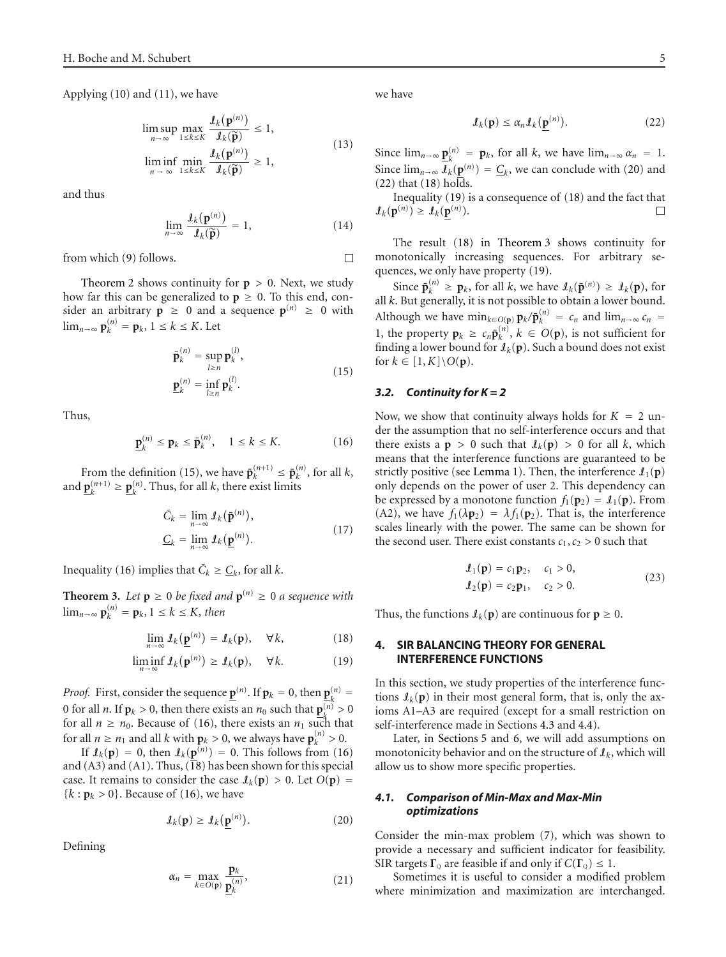Applying [\(10\)](#page-3-2) and [\(11\)](#page-3-3), we have

$$
\limsup_{n \to \infty} \max_{1 \le k \le K} \frac{\mathcal{I}_k(\mathbf{p}^{(n)})}{\mathcal{I}_k(\widetilde{\mathbf{p}})} \le 1,
$$
\n
$$
\liminf_{n \to \infty} \min_{1 \le k \le K} \frac{\mathcal{I}_k(\mathbf{p}^{(n)})}{\mathcal{I}_k(\widetilde{\mathbf{p}})} \ge 1,
$$
\n(13)

and thus

$$
\lim_{n \to \infty} \frac{\mathfrak{I}_k(\mathbf{p}^{(n)})}{\mathfrak{I}_k(\widetilde{\mathbf{p}})} = 1, \tag{14}
$$

from which [\(9\)](#page-3-4) follows.

[Theorem 2](#page-3-1) shows continuity for  $p > 0$ . Next, we study how far this can be generalized to  $p \geq 0$ . To this end, consider an arbitrary  $p \ge 0$  and a sequence  $p^{(n)} \ge 0$  with lim<sub>*n*→∞</sub>  $\mathbf{p}_k^{(n)} = \mathbf{p}_k, 1 \le k \le K$ . Let

<span id="page-4-2"></span><span id="page-4-1"></span>
$$
\bar{\mathbf{p}}_k^{(n)} = \sup_{l \ge n} \mathbf{p}_k^{(l)}, \n\underline{\mathbf{p}}_k^{(n)} = \inf_{l \ge n} \mathbf{p}_k^{(l)}.
$$
\n(15)

Thus,

$$
\underline{\mathbf{p}}_k^{(n)} \le \mathbf{p}_k \le \overline{\mathbf{p}}_k^{(n)}, \quad 1 \le k \le K. \tag{16}
$$

From the definition [\(15\)](#page-4-1), we have  $\bar{\mathbf{p}}_k^{(n+1)} \leq \bar{\mathbf{p}}_k^{(n)}$ , for all *k*, and  $\underline{\mathbf{p}}_k^{(n+1)} \geq \underline{\mathbf{p}}_k^{(n)}$ . Thus, for all *k*, there exist limits

$$
\bar{C}_k = \lim_{n \to \infty} \mathcal{L}_k(\bar{\mathbf{p}}^{(n)}),
$$
  

$$
\underline{C}_k = \lim_{n \to \infty} \mathcal{L}_k(\underline{\mathbf{p}}^{(n)}).
$$
 (17)

<span id="page-4-0"></span>Inequality [\(16\)](#page-4-2) implies that  $\overline{C}_k \geq \underline{C}_k$ , for all *k*.

**Theorem 3.** Let  $p \ge 0$  be fixed and  $p^{(n)} \ge 0$  a sequence with  $\lim_{n\to\infty}$   $\mathbf{p}_k^{(n)} = \mathbf{p}_k, 1 \leq k \leq K$ *, then* 

<span id="page-4-6"></span><span id="page-4-3"></span>
$$
\lim_{n \to \infty} \mathcal{L}_k(\underline{\mathbf{p}}^{(n)}) = \mathcal{L}_k(\mathbf{p}), \quad \forall k,
$$
\n(18)

$$
\liminf_{n \to \infty} \mathcal{I}_k(\mathbf{p}^{(n)}) \ge \mathcal{I}_k(\mathbf{p}), \quad \forall k. \tag{19}
$$

*Proof.* First, consider the sequence  $\underline{\mathbf{p}}^{(n)}$ . If  $\mathbf{p}_k = 0$ , then  $\underline{\mathbf{p}}_k^{(n)} = \mathbf{p}_k$ 0 for all *n*. If  $\mathbf{p}_k > 0$ , then there exists an  $n_0$  such that  $\mathbf{p}_k^{(n)} > 0$ for all  $n \geq n_0$ . Because of [\(16\)](#page-4-2), there exists an  $n_1$  such that for all  $n \ge n_1$  and all  $k$  with  $\mathbf{p}_k > 0$ , we always have  $\mathbf{p}_k^{(n)} > 0$ .

If  $\mathcal{I}_k(\mathbf{p}) = 0$ , then  $\mathcal{I}_k(\mathbf{p}^{(n)}) = 0$ . This follows from [\(16\)](#page-4-2) and (A3) and (A1). Thus, [\(18\)](#page-4-3) has been shown for this special case. It remains to consider the case  $\mathcal{I}_k(\mathbf{p}) > 0$ . Let  $O(\mathbf{p}) =$  ${k : \mathbf{p}_k > 0}$ . Because of [\(16\)](#page-4-2), we have

<span id="page-4-4"></span>
$$
\mathcal{I}_k(\mathbf{p}) \ge \mathcal{I}_k(\underline{\mathbf{p}}^{(n)}).
$$
 (20)

Defining

$$
\alpha_n = \max_{k \in O(\mathbf{p})} \frac{\mathbf{p}_k}{\mathbf{p}_k^{(n)}},\tag{21}
$$

we have

 $\Box$ 

<span id="page-4-5"></span>
$$
\mathcal{I}_k(\mathbf{p}) \le \alpha_n \mathcal{I}_k(\underline{\mathbf{p}}^{(n)}).
$$
 (22)

Since  $\lim_{n\to\infty} \underline{\mathbf{p}}_k^{(n)} = \underline{\mathbf{p}}_k$ , for all *k*, we have  $\lim_{n\to\infty} \alpha_n = 1$ . Since  $\lim_{n\to\infty} \overline{\mathcal{J}_k}(\underline{\mathbf{p}}^{(n)}) = \underline{C}_k$ , we can conclude with [\(20\)](#page-4-4) and  $(22)$  that  $(18)$  holds.

Inequality [\(19\)](#page-4-6) is a consequence of [\(18\)](#page-4-3) and the fact that  $\mathcal{I}_k(\mathbf{p}^{(n)}) \geq \mathcal{I}_k(\mathbf{p}^{(n)})$ . П

The result [\(18\)](#page-4-3) in [Theorem 3](#page-4-0) shows continuity for monotonically increasing sequences. For arbitrary sequences, we only have property [\(19\)](#page-4-6).

Since  $\bar{\mathbf{p}}_k^{(n)} \ge \mathbf{p}_k$ , for all *k*, we have  $\mathbf{I}_k(\bar{\mathbf{p}}^{(n)}) \ge \mathbf{I}_k(\mathbf{p})$ , for all *k*. But generally, it is not possible to obtain a lower bound. Although we have  $\min_{k \in O(p)} p_k / \bar{p}_k^{(n)} = c_n$  and  $\lim_{n \to \infty} c_n =$ 1, the property  $\mathbf{p}_k \ge c_n \bar{\mathbf{p}}_k^{(n)}$ ,  $k \in O(\mathbf{p})$ , is not sufficient for finding a lower bound for  $\mathcal{I}_k(\mathbf{p})$ . Such a bound does not exist for  $k \in [1, K] \backslash O(p)$ .

# *3.2. Continuity for K = 2*

Now, we show that continuity always holds for  $K = 2$  under the assumption that no self-interference occurs and that there exists a  $p > 0$  such that  $\mathcal{I}_k(p) > 0$  for all *k*, which means that the interference functions are guaranteed to be strictly positive (see [Lemma 1\)](#page-3-5). Then, the interference  $\mathbf{I}_1(\mathbf{p})$ only depends on the power of user 2. This dependency can be expressed by a monotone function  $f_1(\mathbf{p}_2) = \mathbf{I}_1(\mathbf{p})$ . From (A2), we have  $f_1(\lambda \mathbf{p}_2) = \lambda f_1(\mathbf{p}_2)$ . That is, the interference scales linearly with the power. The same can be shown for the second user. There exist constants  $c_1, c_2 > 0$  such that

<span id="page-4-7"></span>
$$
\mathcal{L}_1(\mathbf{p}) = c_1 \mathbf{p}_2, \quad c_1 > 0, \n\mathcal{L}_2(\mathbf{p}) = c_2 \mathbf{p}_1, \quad c_2 > 0.
$$
\n(23)

<span id="page-4-8"></span>Thus, the functions  $\mathcal{I}_k(\mathbf{p})$  are continuous for  $\mathbf{p} \geq 0$ .

# **4. SIR BALANCING THEORY FOR GENERAL INTERFERENCE FUNCTIONS**

In this section, we study properties of the interference functions  $\mathcal{I}_k(\mathbf{p})$  in their most general form, that is, only the axioms A1–A3 are required (except for a small restriction on self-interference made in Sections [4.3](#page-6-0) and [4.4\)](#page-7-0).

Later, in [Sections 5](#page-9-0) and [6,](#page-10-0) we will add assumptions on monotonicity behavior and on the structure of  $\mathcal{I}_k$ , which will allow us to show more specific properties.

# *4.1. Comparison of Min-Max and Max-Min optimizations*

Consider the min-max problem [\(7\)](#page-3-6), which was shown to provide a necessary and sufficient indicator for feasibility. SIR targets  $\Gamma_{\text{o}}$  are feasible if and only if  $C(\Gamma_{\text{o}}) \leq 1$ .

Sometimes it is useful to consider a modified problem where minimization and maximization are interchanged.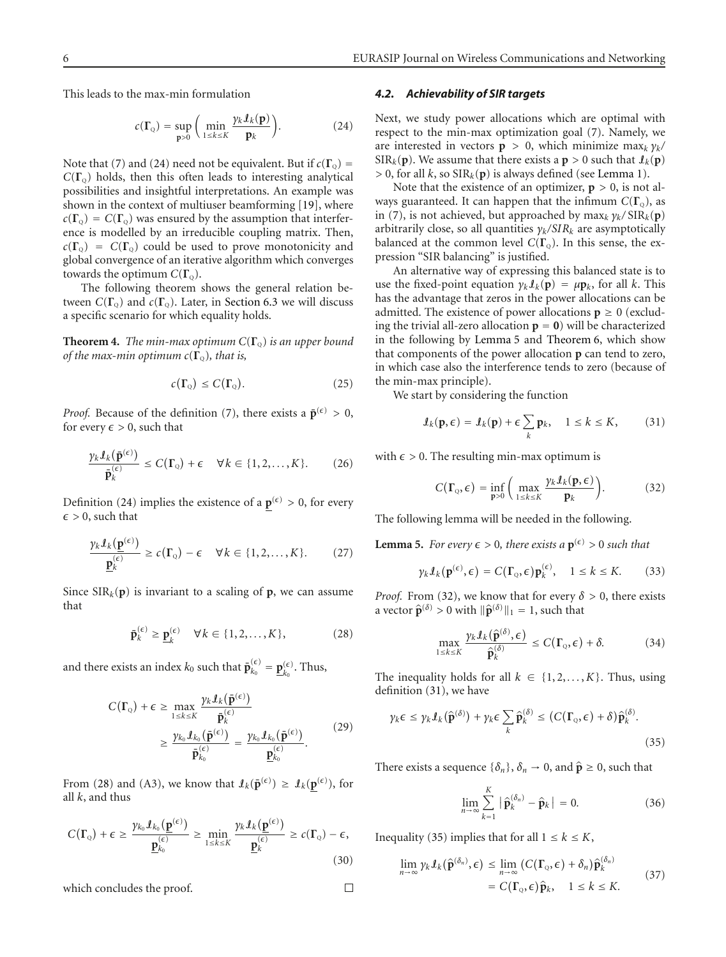This leads to the max-min formulation

<span id="page-5-0"></span>
$$
c(\Gamma_{Q}) = \sup_{\mathbf{p}>0} \left( \min_{1 \leq k \leq K} \frac{\gamma_{k} \mathcal{I}_{k}(\mathbf{p})}{\mathbf{p}_{k}} \right).
$$
 (24)

Note that [\(7\)](#page-3-6) and [\(24\)](#page-5-0) need not be equivalent. But if  $c(\Gamma_0)$  =  $C(\Gamma_0)$  holds, then this often leads to interesting analytical possibilities and insightful interpretations. An example was shown in the context of multiuser beamforming [\[19\]](#page-16-19), where  $c(\Gamma_o) = C(\Gamma_o)$  was ensured by the assumption that interference is modelled by an irreducible coupling matrix. Then,  $c(\Gamma_0) = C(\Gamma_0)$  could be used to prove monotonicity and global convergence of an iterative algorithm which converges towards the optimum  $C(\Gamma_0)$ .

The following theorem shows the general relation between  $C(\Gamma_0)$  and  $c(\Gamma_0)$ . Later, in [Section 6.3](#page-12-0) we will discuss a specific scenario for which equality holds.

<span id="page-5-8"></span>**Theorem 4.** *The min-max optimum*  $C(\Gamma_0)$  *is an upper bound of the max-min optimum*  $c(\Gamma_0)$ *, that is,* 

$$
c(\Gamma_{\mathcal{Q}}) \leq C(\Gamma_{\mathcal{Q}}). \tag{25}
$$

*Proof.* Because of the definition [\(7\)](#page-3-6), there exists a  $\bar{\mathbf{p}}^{(\epsilon)} > 0$ , for every  $\epsilon > 0$ , such that

$$
\frac{\gamma_k \mathcal{I}_k(\bar{\mathbf{p}}^{(\epsilon)})}{\bar{\mathbf{p}}_k^{(\epsilon)}} \le C(\Gamma_{\mathbf{Q}}) + \epsilon \quad \forall k \in \{1, 2, \dots, K\}.
$$
 (26)

Definition [\(24\)](#page-5-0) implies the existence of a  $p^{(\epsilon)} > 0$ , for every  $\epsilon > 0$ , such that

$$
\frac{\gamma_k \mathcal{I}_k(\underline{\mathbf{p}}^{(\epsilon)})}{\underline{\mathbf{p}}_k^{(\epsilon)}} \ge c(\Gamma_0) - \epsilon \quad \forall k \in \{1, 2, ..., K\}.
$$
 (27)

Since  $SIR_k(p)$  is invariant to a scaling of **p**, we can assume that

<span id="page-5-1"></span>
$$
\bar{\mathbf{p}}_k^{(\epsilon)} \ge \underline{\mathbf{p}}_k^{(\epsilon)} \quad \forall k \in \{1, 2, \dots, K\},\tag{28}
$$

and there exists an index  $k_0$  such that  $\bar{\mathbf{p}}_{k_0}^{(\epsilon)} = \underline{\mathbf{p}}_{k_0}^{(\epsilon)}$ . Thus,

$$
C(\Gamma_{Q}) + \epsilon \ge \max_{1 \le k \le K} \frac{\gamma_{k} \mathcal{I}_{k}(\bar{\mathbf{p}}^{(\epsilon)})}{\bar{\mathbf{p}}_{k}^{(\epsilon)}} \n\ge \frac{\gamma_{k_{0}} \mathcal{I}_{k_{0}}(\bar{\mathbf{p}}^{(\epsilon)})}{\bar{\mathbf{p}}_{k_{0}}^{(\epsilon)}} = \frac{\gamma_{k_{0}} \mathcal{I}_{k_{0}}(\bar{\mathbf{p}}^{(\epsilon)})}{\underline{\mathbf{p}}_{k_{0}}^{(\epsilon)}}.
$$
\n(29)

From [\(28\)](#page-5-1) and (A3), we know that  $\mathcal{I}_k(\bar{\mathbf{p}}^{(\epsilon)}) \geq \mathcal{I}_k(\underline{\mathbf{p}}^{(\epsilon)})$ , for all *k*, and thus

$$
C(\Gamma_{Q}) + \epsilon \geq \frac{\gamma_{k_{0}} \mathcal{I}_{k_{0}}(\underline{\mathbf{p}}^{(\epsilon)})}{\underline{\mathbf{p}}_{k_{0}}^{(\epsilon)}} \geq \min_{1 \leq k \leq K} \frac{\gamma_{k} \mathcal{I}_{k}(\underline{\mathbf{p}}^{(\epsilon)})}{\underline{\mathbf{p}}_{k}^{(\epsilon)}} \geq c(\Gamma_{Q}) - \epsilon,
$$
\n(30)

which concludes the proof.

#### *4.2. Achievability of SIR targets*

Next, we study power allocations which are optimal with respect to the min-max optimization goal [\(7\)](#page-3-6). Namely, we are interested in vectors  $\mathbf{p} > 0$ , which minimize max<sub>k</sub>  $\gamma_k$ /  $SIR_k(\mathbf{p})$ . We assume that there exists a  $\mathbf{p} > 0$  such that  $\mathbf{I}_k(\mathbf{p})$ *>* 0, for all *k*, so SIR*k*(**p**) is always defined (see [Lemma 1\)](#page-3-5).

Note that the existence of an optimizer,  $p > 0$ , is not always guaranteed. It can happen that the infimum  $C(\Gamma_0)$ , as in [\(7\)](#page-3-6), is not achieved, but approached by  $\max_k \gamma_k / \operatorname{SIR}_k(p)$ arbitrarily close, so all quantities *γk/SIRk* are asymptotically balanced at the common level  $C(\Gamma_0)$ . In this sense, the expression "SIR balancing" is justified.

An alternative way of expressing this balanced state is to use the fixed-point equation  $\gamma_k \ell_k(p) = \mu p_k$ , for all *k*. This has the advantage that zeros in the power allocations can be admitted. The existence of power allocations  $p \geq 0$  (excluding the trivial all-zero allocation  $\mathbf{p} = \mathbf{0}$ ) will be characterized in the following by [Lemma 5](#page-5-2) and [Theorem 6,](#page-6-1) which show that components of the power allocation **p** can tend to zero, in which case also the interference tends to zero (because of the min-max principle).

We start by considering the function

<span id="page-5-4"></span>
$$
\mathbf{I}_{k}(\mathbf{p}, \epsilon) = \mathbf{I}_{k}(\mathbf{p}) + \epsilon \sum_{k} \mathbf{p}_{k}, \quad 1 \leq k \leq K, \tag{31}
$$

with  $\epsilon > 0$ . The resulting min-max optimum is

<span id="page-5-3"></span>
$$
C(\Gamma_{Q}, \epsilon) = \inf_{\mathbf{p} > 0} \left( \max_{1 \leq k \leq K} \frac{\gamma_{k} \mathcal{I}_{k}(\mathbf{p}, \epsilon)}{\mathbf{p}_{k}} \right).
$$
 (32)

<span id="page-5-2"></span>The following lemma will be needed in the following.

**Lemma 5.** For every  $\epsilon > 0$ , there exists a  $p^{(\epsilon)} > 0$  such that

<span id="page-5-7"></span>
$$
\gamma_k \mathcal{I}_k(\mathbf{p}^{(\epsilon)}, \epsilon) = C(\Gamma_{\mathbf{Q}}, \epsilon) \mathbf{p}_k^{(\epsilon)}, \quad 1 \le k \le K. \tag{33}
$$

*Proof.* From [\(32\)](#page-5-3), we know that for every  $\delta > 0$ , there exists a vector  $\hat{\mathbf{p}}^{(\delta)} > 0$  with  $\|\hat{\mathbf{p}}^{(\delta)}\|_1 = 1$ , such that

$$
\max_{1 \le k \le K} \frac{\gamma_k \mathcal{I}_k(\hat{\mathbf{p}}^{(\delta)}, \epsilon)}{\hat{\mathbf{p}}_k^{(\delta)}} \le C(\Gamma_{\scriptscriptstyle \mathcal{Q}}, \epsilon) + \delta. \tag{34}
$$

The inequality holds for all  $k \in \{1, 2, ..., K\}$ . Thus, using definition [\(31\)](#page-5-4), we have

$$
\gamma_k \epsilon \leq \gamma_k \mathcal{I}_k(\hat{\mathbf{p}}^{(\delta)}) + \gamma_k \epsilon \sum_k \hat{\mathbf{p}}_k^{(\delta)} \leq (C(\Gamma_{\mathbb{Q}}, \epsilon) + \delta) \hat{\mathbf{p}}_k^{(\delta)}.
$$
\n(35)

There exists a sequence  $\{\delta_n\}, \delta_n \to 0$ , and  $\hat{\mathbf{p}} \geq 0$ , such that

<span id="page-5-6"></span><span id="page-5-5"></span>
$$
\lim_{n \to \infty} \sum_{k=1}^{K} \left| \widehat{\mathbf{p}}_k^{(\delta_n)} - \widehat{\mathbf{p}}_k \right| = 0. \tag{36}
$$

Inequality [\(35\)](#page-5-5) implies that for all  $1 \leq k \leq K$ ,

$$
\lim_{n \to \infty} \gamma_k \mathcal{I}_k(\hat{\mathbf{p}}^{(\delta_n)}, \epsilon) \leq \lim_{n \to \infty} (C(\Gamma_{\mathbb{Q}}, \epsilon) + \delta_n) \hat{\mathbf{p}}_k^{(\delta_n)} \n= C(\Gamma_{\mathbb{Q}}, \epsilon) \hat{\mathbf{p}}_k, \quad 1 \leq k \leq K.
$$
\n(37)

 $\Box$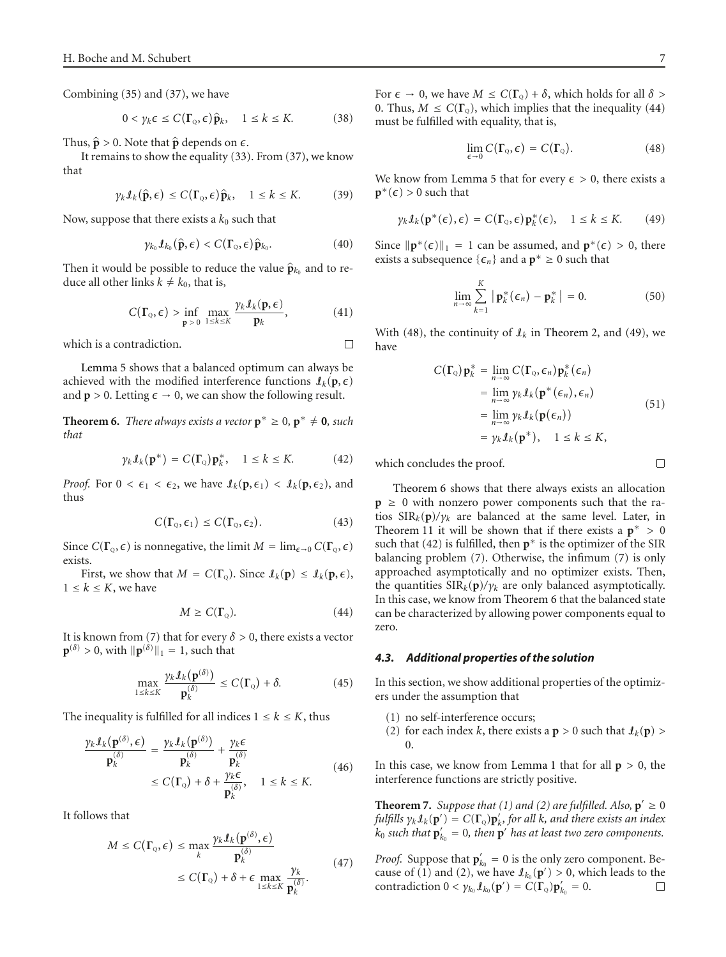Combining [\(35\)](#page-5-5) and [\(37\)](#page-5-6), we have

$$
0 < \gamma_k \epsilon \le C(\Gamma_{\mathbb{Q}}, \epsilon) \hat{\mathbf{p}}_k, \quad 1 \le k \le K. \tag{38}
$$

Thus,  $\hat{\mathbf{p}} > 0$ . Note that  $\hat{\mathbf{p}}$  depends on  $\epsilon$ .<br>It remains to show the equality (33)

It remains to show the equality [\(33\)](#page-5-7). From [\(37\)](#page-5-6), we know that

$$
\gamma_k \mathcal{I}_k(\hat{\mathbf{p}}, \epsilon) \le C(\Gamma_{\mathbf{Q}}, \epsilon) \hat{\mathbf{p}}_k, \quad 1 \le k \le K. \tag{39}
$$

Now, suppose that there exists a  $k_0$  such that

$$
\gamma_{k_0} \mathcal{I}_{k_0}(\hat{\mathbf{p}}, \epsilon) < C(\Gamma_{\scriptscriptstyle \mathcal{Q}}, \epsilon) \hat{\mathbf{p}}_{k_0}.\tag{40}
$$

Then it would be possible to reduce the value  $\hat{\mathbf{p}}_{k_0}$  and to reduce all other links  $k \neq k_0$ , that is,

$$
C(\Gamma_{Q}, \epsilon) > \inf_{\mathbf{p} > 0} \max_{1 \le k \le K} \frac{\gamma_{k} \mathcal{I}_{k}(\mathbf{p}, \epsilon)}{\mathbf{p}_{k}}, \qquad (41)
$$

 $\Box$ 

which is a contradiction.

[Lemma 5](#page-5-2) shows that a balanced optimum can always be achieved with the modified interference functions  $\mathbf{I}_k(\mathbf{p}, \epsilon)$ and **p** > 0. Letting  $\epsilon \to 0$ , we can show the following result.

<span id="page-6-1"></span>**Theorem 6.** *There always exists a vector*  $\mathbf{p}^* \geq 0$ ,  $\mathbf{p}^* \neq \mathbf{0}$ *, such that*

$$
\gamma_k \mathcal{I}_k(\mathbf{p}^*) = C(\Gamma_{\mathbf{Q}}) \mathbf{p}_k^*, \quad 1 \le k \le K. \tag{42}
$$

*Proof.* For  $0 < \epsilon_1 < \epsilon_2$ , we have  $\mathcal{I}_k(\mathbf{p}, \epsilon_1) < \mathcal{I}_k(\mathbf{p}, \epsilon_2)$ , and thus

<span id="page-6-5"></span>
$$
C(\Gamma_{Q}, \epsilon_{1}) \leq C(\Gamma_{Q}, \epsilon_{2}). \tag{43}
$$

Since  $C(\Gamma_{\mathbb{Q}}, \epsilon)$  is nonnegative, the limit  $M = \lim_{\epsilon \to 0} C(\Gamma_{\mathbb{Q}}, \epsilon)$ exists.

First, we show that  $M = C(\Gamma_{Q})$ . Since  $\mathcal{I}_{k}(\mathbf{p}) \leq \mathcal{I}_{k}(\mathbf{p}, \epsilon)$ ,  $1 \leq k \leq K$ , we have

<span id="page-6-2"></span>
$$
M \ge C(\Gamma_{Q}). \tag{44}
$$

It is known from [\(7\)](#page-3-6) that for every  $\delta > 0$ , there exists a vector  $\mathbf{p}^{(\delta)} > 0$ , with  $\|\mathbf{p}^{(\delta)}\|_1 = 1$ , such that

$$
\max_{1 \le k \le K} \frac{\gamma_k \mathbf{\mathit{I}}_k(\mathbf{p}^{(\delta)})}{\mathbf{p}^{(\delta)}_k} \le C(\Gamma_{\mathbf{Q}}) + \delta. \tag{45}
$$

The inequality is fulfilled for all indices  $1 \leq k \leq K$ , thus

$$
\frac{\gamma_k \mathcal{I}_k(\mathbf{p}^{(\delta)}, \epsilon)}{\mathbf{p}_k^{(\delta)}} = \frac{\gamma_k \mathcal{I}_k(\mathbf{p}^{(\delta)})}{\mathbf{p}_k^{(\delta)}} + \frac{\gamma_k \epsilon}{\mathbf{p}_k^{(\delta)}}
$$
\n
$$
\leq C(\Gamma_{\mathbf{Q}}) + \delta + \frac{\gamma_k \epsilon}{\mathbf{p}_k^{(\delta)}}, \quad 1 \leq k \leq K. \tag{46}
$$

It follows that

$$
M \leq C(\Gamma_{Q}, \epsilon) \leq \max_{k} \frac{\gamma_{k} \mathcal{I}_{k}(\mathbf{p}^{(\delta)}, \epsilon)}{\mathbf{p}_{k}^{(\delta)}}
$$
  
 
$$
\leq C(\Gamma_{Q}) + \delta + \epsilon \max_{1 \leq k \leq K} \frac{\gamma_{k}}{\mathbf{p}_{k}^{(\delta)}}.
$$
 (47)

For  $\epsilon \to 0$ , we have  $M \leq C(\Gamma_{Q}) + \delta$ , which holds for all  $\delta >$ 0. Thus,  $M \leq C(\Gamma_0)$ , which implies that the inequality [\(44\)](#page-6-2) must be fulfilled with equality, that is,

<span id="page-6-4"></span><span id="page-6-3"></span>
$$
\lim_{\epsilon \to 0} C(\Gamma_{\mathbf{Q}}, \epsilon) = C(\Gamma_{\mathbf{Q}}). \tag{48}
$$

We know from [Lemma 5](#page-5-2) that for every  $\epsilon > 0$ , there exists a  $\mathbf{p}^*(\epsilon) > 0$  such that

$$
\gamma_k \mathcal{I}_k(\mathbf{p}^*(\epsilon), \epsilon) = C(\Gamma_{\mathbb{Q}}, \epsilon) \mathbf{p}_k^*(\epsilon), \quad 1 \le k \le K. \tag{49}
$$

Since  $\|\mathbf{p}^*(\epsilon)\|_1 = 1$  can be assumed, and  $\mathbf{p}^*(\epsilon) > 0$ , there exists a subsequence  $\{\epsilon_n\}$  and a  $\mathbf{p}^* \geq 0$  such that

$$
\lim_{n\to\infty}\sum_{k=1}^K|\mathbf{p}_k^*(\epsilon_n)-\mathbf{p}_k^*|=0.
$$
 (50)

With [\(48\)](#page-6-3), the continuity of  $\mathcal{I}_k$  in [Theorem 2,](#page-3-1) and [\(49\)](#page-6-4), we have

$$
C(\Gamma_{Q})\mathbf{p}_{k}^{*} = \lim_{n \to \infty} C(\Gamma_{Q}, \epsilon_{n})\mathbf{p}_{k}^{*}(\epsilon_{n})
$$
  
\n
$$
= \lim_{n \to \infty} \gamma_{k} \mathcal{I}_{k}(\mathbf{p}^{*}(\epsilon_{n}), \epsilon_{n})
$$
  
\n
$$
= \lim_{n \to \infty} \gamma_{k} \mathcal{I}_{k}(\mathbf{p}(\epsilon_{n}))
$$
  
\n
$$
= \gamma_{k} \mathcal{I}_{k}(\mathbf{p}^{*}), \quad 1 \leq k \leq K,
$$
\n(51)

which concludes the proof.

[Theorem 6](#page-6-1) shows that there always exists an allocation  $p \geq 0$  with nonzero power components such that the ratios  $SIR_k(p)/\gamma_k$  are balanced at the same level. Later, in [Theorem 11](#page-8-0) it will be shown that if there exists a  $p^* > 0$ such that [\(42\)](#page-6-5) is fulfilled, then **p**<sup>∗</sup> is the optimizer of the SIR balancing problem [\(7\)](#page-3-6). Otherwise, the infimum [\(7\)](#page-3-6) is only approached asymptotically and no optimizer exists. Then, the quantities  $\text{SIR}_k(\textbf{p})/\gamma_k$  are only balanced asymptotically. In this case, we know from [Theorem 6](#page-6-1) that the balanced state can be characterized by allowing power components equal to zero.

#### <span id="page-6-0"></span>*4.3. Additional properties of the solution*

In this section, we show additional properties of the optimizers under the assumption that

- (1) no self-interference occurs;
- (2) for each index *k*, there exists a **p** > 0 such that  $\mathcal{I}_k(\mathbf{p})$  > 0.

<span id="page-6-6"></span>In this case, we know from [Lemma 1](#page-3-5) that for all **p** *>* 0, the interference functions are strictly positive.

**Theorem 7.** *Suppose that* (1) and (2) are fulfilled. Also,  $p' \ge 0$ *fulfills*  $\gamma_k \mathbf{1}_k(\mathbf{p}') = C(\mathbf{\Gamma}_{\mathbb{Q}}) \mathbf{p}'_k$ , for all *k*, and there exists an index  $\mathbf{k}_0$  such that  $\mathbf{p}'_{k_0} = 0$ , then  $\mathbf{p}'$  has at least two zero components.

<span id="page-6-7"></span>*Proof.* Suppose that  $\mathbf{p}'_{k_0} = 0$  is the only zero component. Because of (1) and (2), we have  $\ell_{k_0}(\mathbf{p}') > 0$ , which leads to the contradiction  $0 < \gamma_{k_0} \mathcal{L}_{k_0}(\mathbf{p}') = C(\mathbf{\Gamma}_{\mathbf{Q}}) \mathbf{p}'_{k_0} = 0.$ 囗

 $\Box$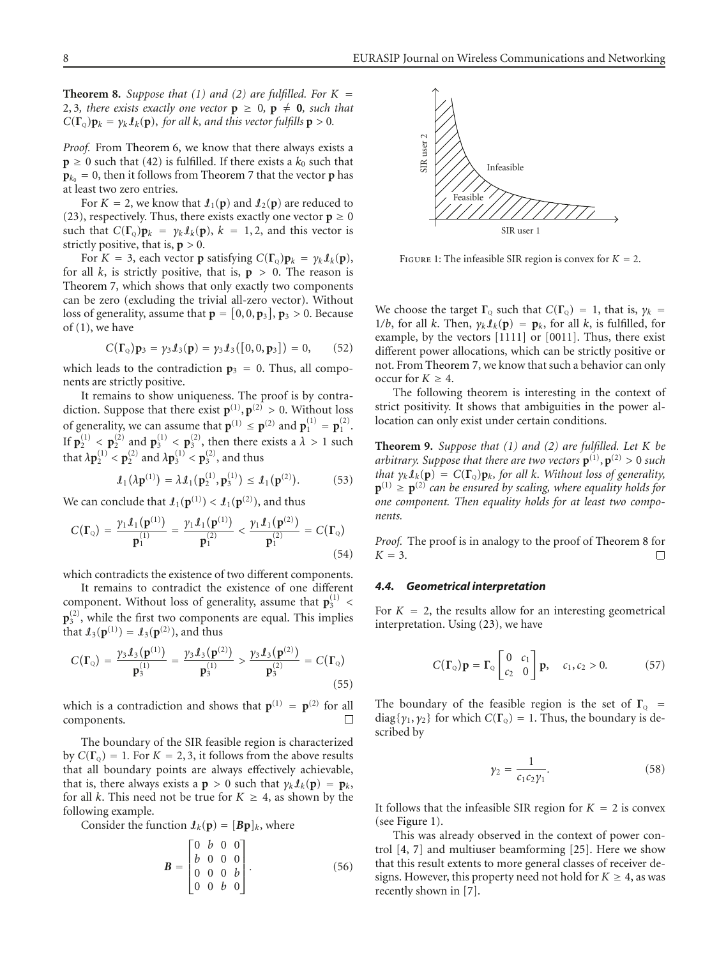**Theorem 8.** *Suppose that* (1) and (2) are fulfilled. For  $K =$ 2, 3, there exists exactly one vector  $p \ge 0$ ,  $p \ne 0$ , such that  $C(\Gamma_{\Omega})\mathbf{p}_k = \gamma_k \mathbf{I}_k(\mathbf{p})$ , for all *k*, and this vector fulfills  $\mathbf{p} > 0$ .

*Proof.* From [Theorem 6,](#page-6-1) we know that there always exists a  $p \ge 0$  such that [\(42\)](#page-6-5) is fulfilled. If there exists a  $k_0$  such that  $\mathbf{p}_{k_0} = 0$ , then it follows from [Theorem 7](#page-6-6) that the vector **p** has at least two zero entries.

For  $K = 2$ , we know that  $\mathcal{L}_1(\mathbf{p})$  and  $\mathcal{L}_2(\mathbf{p})$  are reduced to [\(23\)](#page-4-7), respectively. Thus, there exists exactly one vector  $p \ge 0$ such that  $C(\Gamma_{Q})\mathbf{p}_{k} = \gamma_{k} \mathbf{I}_{k}(\mathbf{p}), k = 1, 2$ , and this vector is strictly positive, that is,  $p > 0$ .

For  $K = 3$ , each vector **p** satisfying  $C(\Gamma_{Q})\mathbf{p}_k = \gamma_k \mathbf{I}_k(\mathbf{p}),$ for all  $k$ , is strictly positive, that is,  $p > 0$ . The reason is [Theorem 7,](#page-6-6) which shows that only exactly two components can be zero (excluding the trivial all-zero vector). Without loss of generality, assume that  $\mathbf{p} = [0, 0, \mathbf{p}_3]$ ,  $\mathbf{p}_3 > 0$ . Because of (1), we have

$$
C(\Gamma_{Q})\mathbf{p}_{3} = \gamma_{3} \mathbf{I}_{3}(\mathbf{p}) = \gamma_{3} \mathbf{I}_{3}([0,0,\mathbf{p}_{3}]) = 0, \qquad (52)
$$

which leads to the contradiction  $\mathbf{p}_3 = 0$ . Thus, all components are strictly positive.

It remains to show uniqueness. The proof is by contradiction. Suppose that there exist  $\mathbf{p}^{(1)}, \mathbf{p}^{(2)} > 0$ . Without loss of generality, we can assume that  $p^{(1)} \leq p^{(2)}$  and  $p_1^{(1)} = p_1^{(2)}$ . If  $\mathbf{p}_2^{(1)} < \mathbf{p}_2^{(2)}$  and  $\mathbf{p}_3^{(1)} < \mathbf{p}_3^{(2)}$ , then there exists a  $\lambda > 1$  such that  $\lambda \mathbf{p}_2^{(1)} < \mathbf{p}_2^{(2)}$  and  $\lambda \mathbf{p}_3^{(1)} < \mathbf{p}_3^{(2)}$ , and thus

$$
\mathcal{L}_1(\lambda \mathbf{p}^{(1)}) = \lambda \mathcal{L}_1(\mathbf{p}_2^{(1)}, \mathbf{p}_3^{(1)}) \leq \mathcal{L}_1(\mathbf{p}^{(2)}).
$$
 (53)

We can conclude that  $\mathbf{I}_1(\mathbf{p}^{(1)}) < \mathbf{I}_1(\mathbf{p}^{(2)})$ , and thus

$$
C(\Gamma_{Q}) = \frac{\gamma_{1} \mathcal{I}_{1}(\mathbf{p}^{(1)})}{\mathbf{p}_{1}^{(1)}} = \frac{\gamma_{1} \mathcal{I}_{1}(\mathbf{p}^{(1)})}{\mathbf{p}_{1}^{(2)}} < \frac{\gamma_{1} \mathcal{I}_{1}(\mathbf{p}^{(2)})}{\mathbf{p}_{1}^{(2)}} = C(\Gamma_{Q})
$$
\n(54)

which contradicts the existence of two different components.

It remains to contradict the existence of one different component. Without loss of generality, assume that  $\mathbf{p}_3^{(1)}$  <  $\mathbf{p}_3^{(2)}$ , while the first two components are equal. This implies that  $I_3(p^{(1)}) = I_3(p^{(2)})$ , and thus

$$
C(\Gamma_{Q}) = \frac{\gamma_{3} \mathcal{I}_{3}(\mathbf{p}^{(1)})}{\mathbf{p}_{3}^{(1)}} = \frac{\gamma_{3} \mathcal{I}_{3}(\mathbf{p}^{(2)})}{\mathbf{p}_{3}^{(1)}} > \frac{\gamma_{3} \mathcal{I}_{3}(\mathbf{p}^{(2)})}{\mathbf{p}_{3}^{(2)}} = C(\Gamma_{Q})
$$
\n(55)

which is a contradiction and shows that  $\mathbf{p}^{(1)} = \mathbf{p}^{(2)}$  for all components components.

The boundary of the SIR feasible region is characterized by  $C(\Gamma_0) = 1$ . For  $K = 2, 3$ , it follows from the above results that all boundary points are always effectively achievable, that is, there always exists a **p** > 0 such that  $\gamma_k \mathcal{I}_k(\mathbf{p}) = \mathbf{p}_k$ , for all *k*. This need not be true for  $K \geq 4$ , as shown by the following example.

Consider the function  $\mathbf{I}_k(\mathbf{p}) = [\mathbf{B}\mathbf{p}]_k$ , where

$$
\mathbf{B} = \begin{bmatrix} 0 & b & 0 & 0 \\ b & 0 & 0 & 0 \\ 0 & 0 & 0 & b \\ 0 & 0 & b & 0 \end{bmatrix} . \tag{56}
$$



<span id="page-7-1"></span>FIGURE 1: The infeasible SIR region is convex for  $K = 2$ .

We choose the target  $\Gamma_{\text{Q}}$  such that  $C(\Gamma_{\text{Q}}) = 1$ , that is,  $\gamma_k =$ 1/b, for all *k*. Then,  $\gamma_k \mathcal{I}_k(\mathbf{p}) = \mathbf{p}_k$ , for all *k*, is fulfilled, for example, by the vectors [1111] or [0011]. Thus, there exist different power allocations, which can be strictly positive or not. From [Theorem 7,](#page-6-6) we know that such a behavior can only occur for  $K \geq 4$ .

The following theorem is interesting in the context of strict positivity. It shows that ambiguities in the power allocation can only exist under certain conditions.

**Theorem 9.** *Suppose that (1) and (2) are fulfilled. Let K be arbitrary. Suppose that there are two vectors*  $\mathbf{p}^{(1)}$ ,  $\mathbf{p}^{(2)} > 0$  *such that*  $\gamma_k \mathbf{1}_k(\mathbf{p}) = C(\mathbf{\Gamma}_0) \mathbf{p}_k$ , for all *k. Without loss of generality,*  $\mathbf{p}^{(1)} \geq \mathbf{p}^{(2)}$  *can be ensured by scaling, where equality holds for one component. Then equality holds for at least two components.*

*Proof.* The proof is in analogy to the proof of [Theorem 8](#page-6-7) for  $K = 3$ .  $\Box$ 

#### <span id="page-7-0"></span>*4.4. Geometrical interpretation*

For  $K = 2$ , the results allow for an interesting geometrical interpretation. Using [\(23\)](#page-4-7), we have

$$
C(\Gamma_{\mathbf{Q}})\mathbf{p} = \Gamma_{\mathbf{Q}} \begin{bmatrix} 0 & c_1 \\ c_2 & 0 \end{bmatrix} \mathbf{p}, \quad c_1, c_2 > 0. \tag{57}
$$

The boundary of the feasible region is the set of  $\Gamma_{\text{Q}}$  = diag{ $\gamma_1, \gamma_2$ } for which  $C(\Gamma_{\Omega}) = 1$ . Thus, the boundary is described by

$$
\gamma_2 = \frac{1}{c_1 c_2 \gamma_1}.
$$
\n(58)

It follows that the infeasible SIR region for  $K = 2$  is convex (see [Figure 1\)](#page-7-1).

This was already observed in the context of power control [\[4](#page-16-4), [7](#page-16-7)] and multiuser beamforming [\[25\]](#page-16-20). Here we show that this result extents to more general classes of receiver designs. However, this property need not hold for  $K \geq 4$ , as was recently shown in [\[7](#page-16-7)].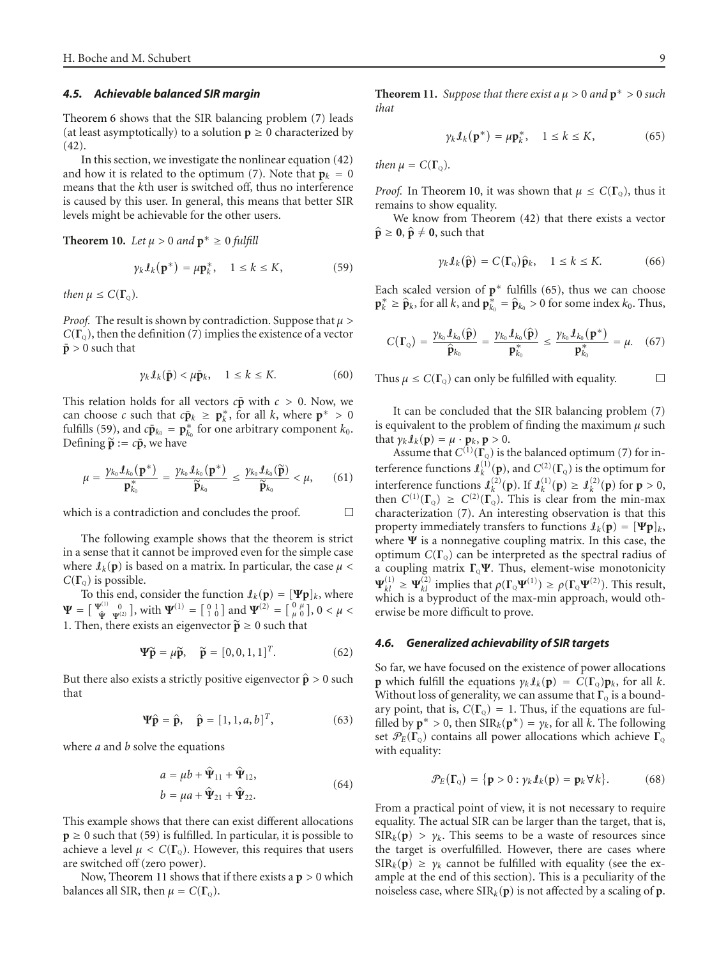#### *4.5. Achievable balanced SIR margin*

[Theorem 6](#page-6-1) shows that the SIR balancing problem [\(7\)](#page-3-6) leads (at least asymptotically) to a solution  $p \ge 0$  characterized by [\(42\)](#page-6-5).

In this section, we investigate the nonlinear equation [\(42\)](#page-6-5) and how it is related to the optimum [\(7\)](#page-3-6). Note that  $\mathbf{p}_k = 0$ means that the *k*th user is switched off, thus no interference is caused by this user. In general, this means that better SIR levels might be achievable for the other users.

<span id="page-8-2"></span>**Theorem 10.** *Let*  $\mu > 0$  *and*  $p^* \ge 0$  *fulfill* 

<span id="page-8-1"></span>
$$
\gamma_k \mathcal{I}_k(\mathbf{p}^*) = \mu \mathbf{p}_k^*, \quad 1 \le k \le K,\tag{59}
$$

*then*  $\mu \leq C(\Gamma_0)$ *.* 

*Proof.* The result is shown by contradiction. Suppose that *μ >*  $C(\Gamma_0)$ , then the definition [\(7\)](#page-3-6) implies the existence of a vector  $\bar{p} > 0$  such that

$$
\gamma_k \mathcal{I}_k(\bar{\mathbf{p}}) < \mu \bar{\mathbf{p}}_k, \quad 1 \le k \le K. \tag{60}
$$

This relation holds for all vectors  $c\bar{p}$  with  $c > 0$ . Now, we can choose *c* such that  $c\bar{p}_k \geq p_k^*$ , for all *k*, where  $p^* > 0$ fulfills [\(59\)](#page-8-1), and  $c\bar{p}_{k_0} = p_{k_0}^*$  for one arbitrary component  $k_0$ . Defining  $\tilde{\mathbf{p}} := c\bar{\mathbf{p}}$ , we have

$$
\mu = \frac{\gamma_{k_0} \mathcal{I}_{k_0}(\mathbf{p}^*)}{\mathbf{p}_{k_0}^*} = \frac{\gamma_{k_0} \mathcal{I}_{k_0}(\mathbf{p}^*)}{\widetilde{\mathbf{p}}_{k_0}} \le \frac{\gamma_{k_0} \mathcal{I}_{k_0}(\widetilde{\mathbf{p}})}{\widetilde{\mathbf{p}}_{k_0}} < \mu,
$$
 (61)

 $\Box$ which is a contradiction and concludes the proof.

The following example shows that the theorem is strict in a sense that it cannot be improved even for the simple case where  $\mathbf{I}_k(\mathbf{p})$  is based on a matrix. In particular, the case  $\mu$  <  $C(\Gamma_0)$  is possible.

To this end, consider the function  $\mathbf{I}_k(\mathbf{p}) = [\Psi \mathbf{p}]_k$ , where **Ψ** =  $\begin{bmatrix} \Psi^{(1)} & 0 \\ \hat{\Psi} & \Psi^{(2)} \end{bmatrix}$ , with  $\Psi^{(1)} = \begin{bmatrix} 0 & 1 \\ 1 & 0 \end{bmatrix}$  and  $\Psi^{(2)} = \begin{bmatrix} 0 & \mu \\ \mu & 0 \end{bmatrix}$ ,  $0 < \mu <$ 1. Then, there exists an eigenvector  $\tilde{\mathbf{p}} \geq 0$  such that

$$
\Psi \widetilde{\mathbf{p}} = \mu \widetilde{\mathbf{p}}, \quad \widetilde{\mathbf{p}} = [0, 0, 1, 1]^T. \tag{62}
$$

But there also exists a strictly positive eigenvector  $\hat{\mathbf{p}} > 0$  such that

$$
\Psi \hat{\mathbf{p}} = \hat{\mathbf{p}}, \quad \hat{\mathbf{p}} = [1, 1, a, b]^T, \tag{63}
$$

where *a* and *b* solve the equations

$$
a = \mu b + \hat{\Psi}_{11} + \hat{\Psi}_{12},
$$
  
\n
$$
b = \mu a + \hat{\Psi}_{21} + \hat{\Psi}_{22}.
$$
\n(64)

This example shows that there can exist different allocations  $p \ge 0$  such that [\(59\)](#page-8-1) is fulfilled. In particular, it is possible to achieve a level  $\mu < C(\Gamma_0)$ . However, this requires that users are switched off (zero power).

<span id="page-8-0"></span>Now, [Theorem 11](#page-8-0) shows that if there exists a **p** *>* 0 which balances all SIR, then  $\mu = C(\Gamma_{\mathbb{Q}})$ .

<span id="page-8-3"></span>
$$
\gamma_k \mathcal{I}_k(\mathbf{p}^*) = \mu \mathbf{p}_k^*, \quad 1 \le k \le K,\tag{65}
$$

*then*  $\mu = C(\Gamma_0)$ *.* 

*that*

*Proof.* In [Theorem 10,](#page-8-2) it was shown that  $\mu \leq C(\Gamma_0)$ , thus it remains to show equality.

We know from Theorem [\(42\)](#page-6-5) that there exists a vector  $\hat{\mathbf{p}} \geq \mathbf{0}, \hat{\mathbf{p}} \neq \mathbf{0}$ , such that

$$
\gamma_k \mathcal{I}_k(\hat{\mathbf{p}}) = C(\Gamma_{\mathbf{Q}}) \hat{\mathbf{p}}_k, \quad 1 \le k \le K. \tag{66}
$$

Each scaled version of  $p^*$  fulfills [\(65\)](#page-8-3), thus we can choose **p**<sup>∗</sup><sub>**k**</sub> ≥  $\hat{\mathbf{p}}_k$ , for all *k*, and  $\mathbf{p}_{k_0}^* = \hat{\mathbf{p}}_{k_0} > 0$  for some index *k*<sub>0</sub>. Thus,

$$
C(\Gamma_{Q}) = \frac{\gamma_{k_0} \mathcal{I}_{k_0}(\widehat{\mathbf{p}})}{\widehat{\mathbf{p}}_{k_0}} = \frac{\gamma_{k_0} \mathcal{I}_{k_0}(\widehat{\mathbf{p}})}{\mathbf{p}_{k_0}^*} \leq \frac{\gamma_{k_0} \mathcal{I}_{k_0}(\mathbf{p}^*)}{\mathbf{p}_{k_0}^*} = \mu. \quad (67)
$$

Thus  $\mu \leq C(\Gamma_0)$  can only be fulfilled with equality. □

It can be concluded that the SIR balancing problem [\(7\)](#page-3-6) is equivalent to the problem of finding the maximum *μ* such that  $\gamma_k \mathcal{I}_k(\mathbf{p}) = \mu \cdot \mathbf{p}_k, \mathbf{p} > 0.$ 

Assume that  $C^{(1)}(\Gamma_{\mathcal{Q}})$  is the balanced optimum [\(7\)](#page-3-6) for interference functions  $\mathbf{J}_k^{(1)}(\mathbf{p})$ , and  $C^{(2)}(\mathbf{\Gamma}_{\mathbf{Q}})$  is the optimum for interference functions  $\mathbf{J}_k^{(2)}(\mathbf{p})$ . If  $\mathbf{J}_k^{(1)}(\mathbf{p}) \geq \mathbf{J}_k^{(2)}(\mathbf{p})$  for  $\mathbf{p} > 0$ , then  $C^{(1)}(\Gamma_o) \geq C^{(2)}(\Gamma_o)$ . This is clear from the min-max characterization [\(7\)](#page-3-6). An interesting observation is that this property immediately transfers to functions  $\mathbf{I}_k(\mathbf{p}) = [\mathbf{\Psi}\mathbf{p}]_k$ , where **Ψ** is a nonnegative coupling matrix. In this case, the optimum  $C(\Gamma_0)$  can be interpreted as the spectral radius of a coupling matrix **Γ**Q**Ψ**. Thus, element-wise monotonicity  $\Psi_{kl}^{(1)} \ge \Psi_{kl}^{(2)}$  implies that  $\rho(\Gamma_{\mathbb{Q}}\Psi^{(1)}) \ge \rho(\Gamma_{\mathbb{Q}}\Psi^{(2)})$ . This result, which is a byproduct of the max-min approach, would otherwise be more difficult to prove.

#### <span id="page-8-4"></span>*4.6. Generalized achievability of SIR targets*

So far, we have focused on the existence of power allocations **p** which fulfill the equations  $\gamma_k \mathcal{I}_k(\mathbf{p}) = C(\mathbf{\Gamma}_{\odot})\mathbf{p}_k$ , for all *k*. Without loss of generality, we can assume that  $\Gamma_{\mathcal{Q}}$  is a boundary point, that is,  $C(\Gamma_{Q}) = 1$ . Thus, if the equations are fulfilled by  $\mathbf{p}^* > 0$ , then  $SIR_k(\mathbf{p}^*) = \gamma_k$ , for all *k*. The following set  $\mathcal{P}_E(\Gamma_{\mathbf{Q}})$  contains all power allocations which achieve  $\Gamma_{\mathbf{Q}}$ with equality:

$$
\mathcal{P}_E(\Gamma_{\mathbf{Q}}) = \{ \mathbf{p} > 0 : \gamma_k \mathcal{I}_k(\mathbf{p}) = \mathbf{p}_k \forall k \}. \tag{68}
$$

From a practical point of view, it is not necessary to require equality. The actual SIR can be larger than the target, that is,  $SIR_k(p) > \gamma_k$ . This seems to be a waste of resources since the target is overfulfilled. However, there are cases where  $SIR_k(p) \geq \gamma_k$  cannot be fulfilled with equality (see the example at the end of this section). This is a peculiarity of the noiseless case, where  $SIR_k(p)$  is not affected by a scaling of **p**.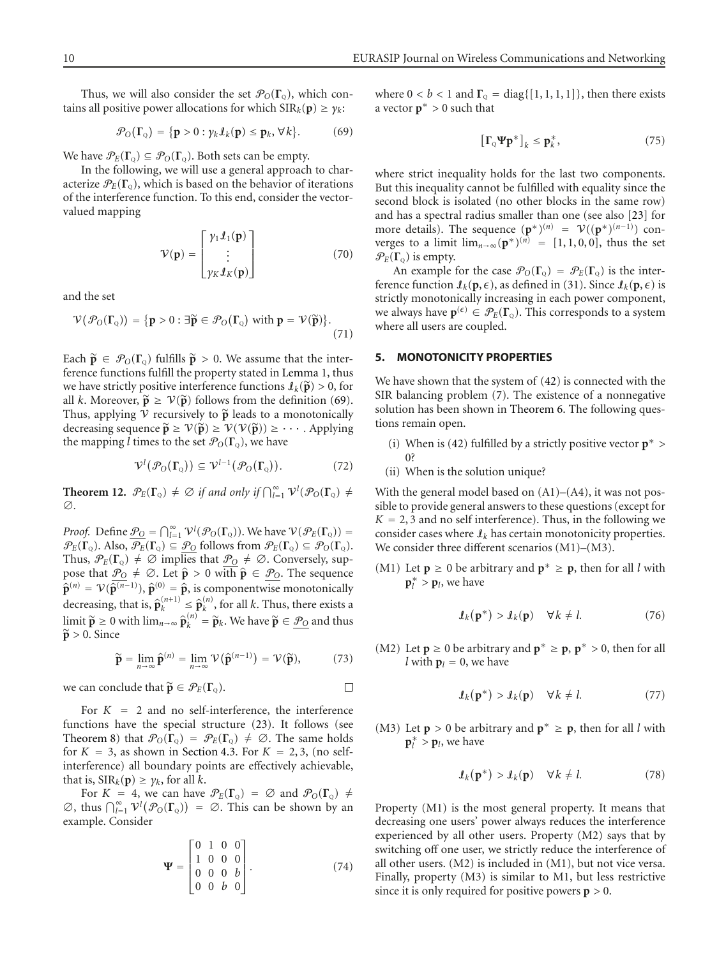Thus, we will also consider the set  $\mathcal{P}_O(\Gamma_o)$ , which contains all positive power allocations for which  $\text{SIR}_k(\textbf{p}) \geq \gamma_k$ :

$$
\mathcal{P}_O(\Gamma_Q) = \{ \mathbf{p} > 0 : \gamma_k \mathcal{I}_k(\mathbf{p}) \le \mathbf{p}_k, \forall k \}. \tag{69}
$$

We have  $\mathcal{P}_E(\Gamma_{\Omega}) \subseteq \mathcal{P}_O(\Gamma_{\Omega})$ . Both sets can be empty.

In the following, we will use a general approach to characterize  $\mathcal{P}_E(\Gamma_o)$ , which is based on the behavior of iterations of the interference function. To this end, consider the vectorvalued mapping

$$
\mathcal{V}(\mathbf{p}) = \begin{bmatrix} \gamma_1 \mathbf{1}(\mathbf{p}) \\ \vdots \\ \gamma_K \mathbf{1}(\mathbf{p}) \end{bmatrix}
$$
 (70)

and the set

$$
\mathcal{V}(\mathcal{P}_O(\Gamma_Q)) = \{ \mathbf{p} > 0 : \exists \widetilde{\mathbf{p}} \in \mathcal{P}_O(\Gamma_Q) \text{ with } \mathbf{p} = \mathcal{V}(\widetilde{\mathbf{p}}) \}.
$$
\n(71)

Each  $\tilde{\mathbf{p}} \in \mathcal{P}_0(\Gamma_o)$  fulfills  $\tilde{\mathbf{p}} > 0$ . We assume that the interference functions fulfill the property stated in [Lemma 1,](#page-3-5) thus we have strictly positive interference functions  $\mathcal{I}_k(\widetilde{\mathbf{p}}) > 0$ , for all *k*. Moreover,  $\tilde{\mathbf{p}} \geq \mathcal{V}(\tilde{\mathbf{p}})$  follows from the definition [\(69\)](#page-9-1). Thus, applying  $V$  recursively to  $\tilde{p}$  leads to a monotonically decreasing sequence  $\tilde{\mathbf{p}} \geq \mathcal{V}(\tilde{\mathbf{p}}) \geq \mathcal{V}(\mathcal{V}(\tilde{\mathbf{p}})) \geq \cdots$ . Applying the mapping *l* times to the set  $\mathcal{P}_O(\Gamma_0)$ , we have

$$
\mathcal{V}^l(\mathcal{P}_O(\Gamma_\mathbf{Q})) \subseteq \mathcal{V}^{l-1}(\mathcal{P}_O(\Gamma_\mathbf{Q})).\tag{72}
$$

**Theorem 12.**  $\mathcal{P}_E(\Gamma_{Q}) \neq \emptyset$  if and only if  $\bigcap_{l=1}^{\infty} \mathcal{V}^l(\mathcal{P}_O(\Gamma_{Q}) \neq \emptyset)$ ∅*.*

*Proof.* Define  $\underline{\mathcal{P}_Q} = \bigcap_{l=1}^{\infty} \mathcal{V}^l(\mathcal{P}_Q(\Gamma_Q))$ . We have  $\mathcal{V}(\mathcal{P}_E(\Gamma_Q)) =$  $\mathcal{P}_E(\Gamma_{\mathcal{Q}})$ . Also,  $\overline{\mathcal{P}_E}(\Gamma_{\mathcal{Q}}) \subseteq \mathcal{P}_O$  follows from  $\mathcal{P}_E(\Gamma_{\mathcal{Q}}) \subseteq \mathcal{P}_O(\Gamma_{\mathcal{Q}})$ . Thus,  $\mathcal{P}_E(\Gamma_0) \neq \emptyset$  implies that  $\underline{\mathcal{P}_O} \neq \emptyset$ . Conversely, suppose that  $\hat{P}_Q \neq \emptyset$ . Let  $\hat{\mathbf{p}} > 0$  with  $\hat{\mathbf{p}} \in \mathcal{P}_Q$ . The sequence  $\hat{\mathbf{p}}^{(n)} = \mathcal{V}(\hat{\mathbf{p}}^{(n-1)}), \hat{\mathbf{p}}^{(0)} = \hat{\mathbf{p}}$ , is componentwise monotonically decreasing, that is,  $\hat{\mathbf{p}}_k^{(n+1)} \leq \hat{\mathbf{p}}_k^{(n)}$ , for all *k*. Thus, there exists a limit  $\widetilde{p}$  ≥ 0 with  $\lim_{n\to\infty} \widehat{p}_k^{(n)} = \widetilde{p}_k$ . We have  $\widetilde{p} \in \mathcal{P}_0$  and thus  $\tilde{p} > 0$ . Since

$$
\widetilde{\mathbf{p}} = \lim_{n \to \infty} \widehat{\mathbf{p}}^{(n)} = \lim_{n \to \infty} \mathcal{V}(\widehat{\mathbf{p}}^{(n-1)}) = \mathcal{V}(\widetilde{\mathbf{p}}),\tag{73}
$$

we can conclude that  $\widetilde{\mathbf{p}} \in \mathcal{P}_E(\Gamma_0)$ .  $\Box$ 

For  $K = 2$  and no self-interference, the interference functions have the special structure [\(23\)](#page-4-7). It follows (see [Theorem 8\)](#page-6-7) that  $\mathcal{P}_O(\Gamma_Q) = \mathcal{P}_E(\Gamma_Q) \neq \emptyset$ . The same holds for  $K = 3$ , as shown in [Section 4.3.](#page-6-0) For  $K = 2, 3$ , (no selfinterference) all boundary points are effectively achievable, that is,  $\text{SIR}_k(\mathbf{p}) \geq \gamma_k$ , for all *k*.

For  $K = 4$ , we can have  $\mathcal{P}_E(\Gamma_{\mathbb{Q}}) = \emptyset$  and  $\mathcal{P}_O(\Gamma_{\mathbb{Q}}) \neq$  $\emptyset$ , thus  $\bigcap_{l=1}^{\infty} \mathcal{V}^l(\mathcal{P}_O(\Gamma_Q)) = \emptyset$ . This can be shown by an example. Consider

$$
\mathbf{\Psi} = \begin{bmatrix} 0 & 1 & 0 & 0 \\ 1 & 0 & 0 & 0 \\ 0 & 0 & 0 & b \\ 0 & 0 & b & 0 \end{bmatrix} . \tag{74}
$$

<span id="page-9-1"></span>where  $0 < b < 1$  and  $\Gamma_0 = \text{diag}\{[1, 1, 1, 1]\}$ , then there exists a vector **p**<sup>∗</sup> *>* 0 such that

$$
\left[\Gamma_{\mathbf{Q}}\Psi\mathbf{p}^*\right]_k \leq \mathbf{p}_k^*,\tag{75}
$$

where strict inequality holds for the last two components. But this inequality cannot be fulfilled with equality since the second block is isolated (no other blocks in the same row) and has a spectral radius smaller than one (see also [\[23](#page-16-17)] for more details). The sequence  $(\mathbf{p}^*)^{(n)} = \mathcal{V}((\mathbf{p}^*)^{(n-1)})$  converges to a limit  $\lim_{n\to\infty} (p^*)^{(n)} = [1, 1, 0, 0]$ , thus the set  $\mathcal{P}_E(\Gamma_{\text{o}})$  is empty.

An example for the case  $\mathcal{P}_O(\Gamma_{\text{Q}}) = \mathcal{P}_E(\Gamma_{\text{Q}})$  is the interference function  $\mathcal{I}_k(\mathbf{p}, \epsilon)$ , as defined in [\(31\)](#page-5-4). Since  $\mathcal{I}_k(\mathbf{p}, \epsilon)$  is strictly monotonically increasing in each power component, we always have  $p^{(\epsilon)} \in \mathcal{P}_E(\Gamma_{\mathbb{Q}})$ . This corresponds to a system where all users are coupled.

#### <span id="page-9-0"></span>**5. MONOTONICITY PROPERTIES**

We have shown that the system of [\(42\)](#page-6-5) is connected with the SIR balancing problem [\(7\)](#page-3-6). The existence of a nonnegative solution has been shown in [Theorem 6.](#page-6-1) The following questions remain open.

- (i) When is [\(42\)](#page-6-5) fulfilled by a strictly positive vector **p**<sup>∗</sup> *>* 0?
- (ii) When is the solution unique?

With the general model based on  $(A1)–(A4)$ , it was not possible to provide general answers to these questions (except for  $K = 2, 3$  and no self interference). Thus, in the following we consider cases where  $I_k$  has certain monotonicity properties. We consider three different scenarios (M1)–(M3).

(M1) Let **p** ≥ 0 be arbitrary and  $\mathbf{p}^*$  ≥ **p**, then for all *l* with  $\mathbf{p}_l^*$  >  $\mathbf{p}_l$ , we have

$$
\mathbf{I}_k(\mathbf{p}^*) > \mathbf{I}_k(\mathbf{p}) \quad \forall k \neq l. \tag{76}
$$

(M2) Let  $p \ge 0$  be arbitrary and  $p^* \ge p$ ,  $p^* > 0$ , then for all *l* with  $p_l = 0$ , we have

$$
\mathbf{I}_k(\mathbf{p}^*) > \mathbf{I}_k(\mathbf{p}) \quad \forall k \neq l. \tag{77}
$$

(M3) Let  $p > 0$  be arbitrary and  $p^* \geq p$ , then for all *l* with  $\mathbf{p}_l^*$  >  $\mathbf{p}_l$ , we have

$$
\mathbf{I}_{k}(\mathbf{p}^*) > \mathbf{I}_{k}(\mathbf{p}) \quad \forall k \neq l. \tag{78}
$$

Property (M1) is the most general property. It means that decreasing one users' power always reduces the interference experienced by all other users. Property (M2) says that by switching off one user, we strictly reduce the interference of all other users. (M2) is included in (M1), but not vice versa. Finally, property (M3) is similar to M1, but less restrictive since it is only required for positive powers  $p > 0$ .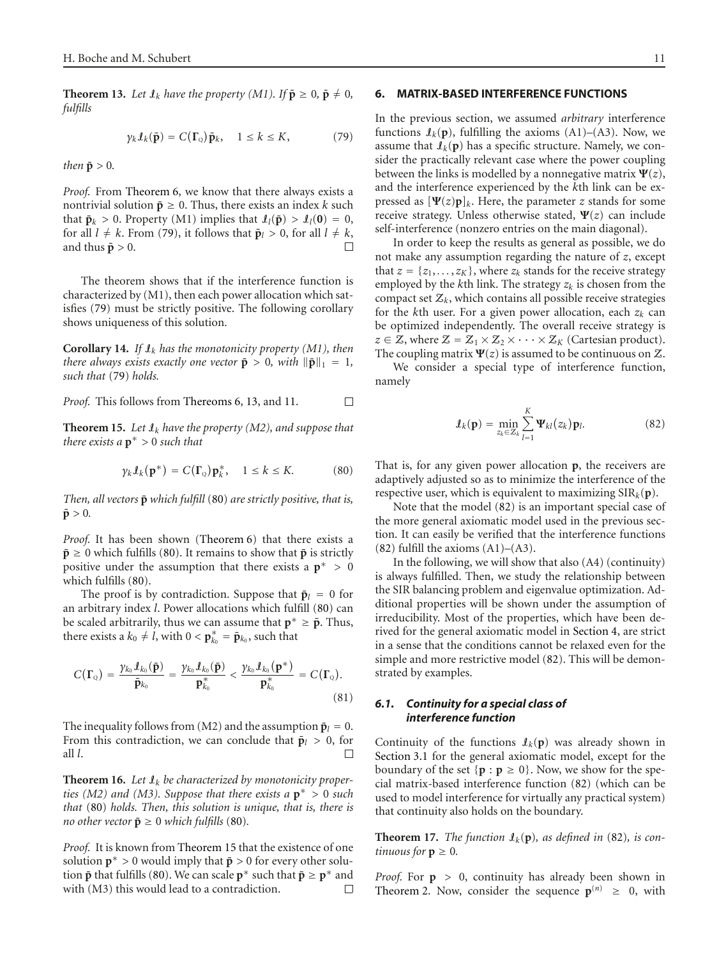<span id="page-10-4"></span>**Theorem 13.** Let  $\mathbf{I}_k$  have the property (M1). If  $\bar{\mathbf{p}} \geq 0$ ,  $\bar{\mathbf{p}} \neq 0$ , *fulfills*

<span id="page-10-3"></span>
$$
\gamma_k \mathcal{I}_k(\bar{\mathbf{p}}) = C(\Gamma_{\mathbf{Q}}) \bar{\mathbf{p}}_k, \quad 1 \le k \le K,
$$
 (79)

*then*  $\bar{p} > 0$ *.* 

*Proof.* From [Theorem 6,](#page-6-1) we know that there always exists a nontrivial solution  $\bar{\mathbf{p}} \geq 0$ . Thus, there exists an index *k* such that  $\bar{\mathbf{p}}_k > 0$ . Property (M1) implies that  $\mathcal{I}_l(\bar{\mathbf{p}}) > \mathcal{I}_l(\mathbf{0}) = 0$ , for all  $l \neq k$ . From [\(79\)](#page-10-3), it follows that  $\bar{\mathbf{p}}_l > 0$ , for all  $l \neq k$ , and thus  $\bar{\mathbf{p}} > 0$ .

The theorem shows that if the interference function is characterized by (M1), then each power allocation which satisfies [\(79\)](#page-10-3) must be strictly positive. The following corollary shows uniqueness of this solution.

**Corollary 14.** *If* I*<sup>k</sup> has the monotonicity property (M1), then there always exists exactly one vector*  $\bar{\mathbf{p}} > 0$ *, with*  $\|\bar{\mathbf{p}}\|_1 = 1$ *, such that* [\(79\)](#page-10-3) *holds.*

*Proof.* This follows from [Thereoms 6,](#page-6-1) [13,](#page-10-4) and [11.](#page-8-0) □

<span id="page-10-6"></span>**Theorem 15.** Let  $\mathbf{I}_k$  have the property (M2), and suppose that *there exists a* **p**<sup>∗</sup> *>* 0 *such that*

<span id="page-10-5"></span>
$$
\gamma_k \mathcal{I}_k(\mathbf{p}^*) = C(\Gamma_0) \mathbf{p}_k^*, \quad 1 \le k \le K. \tag{80}
$$

*Then, all vectors*  $\bar{p}$  *which fulfill* [\(80\)](#page-10-5) *are strictly positive, that is,*  $\bar{p} > 0$ .

*Proof.* It has been shown [\(Theorem 6\)](#page-6-1) that there exists a  $\bar{\mathbf{p}} \geq 0$  which fulfills [\(80\)](#page-10-5). It remains to show that  $\bar{\mathbf{p}}$  is strictly positive under the assumption that there exists a **p**<sup>∗</sup> *>* 0 which fulfills [\(80\)](#page-10-5).

The proof is by contradiction. Suppose that  $\bar{p}_l = 0$  for an arbitrary index *l*. Power allocations which fulfill [\(80\)](#page-10-5) can be scaled arbitrarily, thus we can assume that  $\mathbf{p}^* \geq \bar{\mathbf{p}}$ . Thus, there exists a  $k_0 \neq \hat{l}$ , with  $0 < \mathbf{p}_{k_0}^* = \bar{\mathbf{p}}_{k_0}$ , such that

$$
C(\Gamma_{Q}) = \frac{\gamma_{k_{0}}\mathcal{I}_{k_{0}}(\bar{\mathbf{p}})}{\bar{\mathbf{p}}_{k_{0}}} = \frac{\gamma_{k_{0}}\mathcal{I}_{k_{0}}(\bar{\mathbf{p}})}{\mathbf{p}_{k_{0}}^{*}} < \frac{\gamma_{k_{0}}\mathcal{I}_{k_{0}}(\mathbf{p}^{*})}{\mathbf{p}_{k_{0}}^{*}} = C(\Gamma_{Q}).
$$
\n(81)

The inequality follows from (M2) and the assumption  $\bar{p}_l = 0$ . From this contradiction, we can conclude that  $\bar{\mathbf{p}}_l > 0$ , for all *l*. □

**Theorem 16.** *Let* I*<sup>k</sup> be characterized by monotonicity properties (M2) and (M3). Suppose that there exists a* **p**<sup>∗</sup> *>* 0 *such that* [\(80\)](#page-10-5) *holds. Then, this solution is unique, that is, there is no other vector*  $\bar{\mathbf{p}} \geq 0$  *which fulfills* [\(80\)](#page-10-5).

*Proof.* It is known from [Theorem 15](#page-10-6) that the existence of one solution  $p^* > 0$  would imply that  $\bar{p} > 0$  for every other solution **p**̃ that fulfills [\(80\)](#page-10-5). We can scale **p**<sup>∗</sup> such that **p** ≥ **p**<sup>∗</sup> and with (M3) this would lead to a contradiction.  $\Box$ with (M3) this would lead to a contradiction.

#### <span id="page-10-0"></span>**6. MATRIX-BASED INTERFERENCE FUNCTIONS**

In the previous section, we assumed *arbitrary* interference functions  $I_k(p)$ , fulfilling the axioms (A1)–(A3). Now, we assume that  $\mathcal{I}_k(\mathbf{p})$  has a specific structure. Namely, we consider the practically relevant case where the power coupling between the links is modelled by a nonnegative matrix  $\Psi(z)$ , and the interference experienced by the *k*th link can be expressed as  $[\Psi(z)p]_k$ . Here, the parameter *z* stands for some receive strategy. Unless otherwise stated, **Ψ**(*z*) can include self-interference (nonzero entries on the main diagonal).

In order to keep the results as general as possible, we do not make any assumption regarding the nature of *z*, except that  $z = \{z_1, \ldots, z_K\}$ , where  $z_k$  stands for the receive strategy employed by the  $k$ th link. The strategy  $z_k$  is chosen from the compact set  $Z_k$ , which contains all possible receive strategies for the *k*th user. For a given power allocation, each *zk* can be optimized independently. The overall receive strategy is  $z \in \mathbb{Z}$ , where  $\mathbb{Z} = \mathbb{Z}_1 \times \mathbb{Z}_2 \times \cdots \times \mathbb{Z}_K$  (Cartesian product). The coupling matrix  $\Psi(z)$  is assumed to be continuous on Z.

We consider a special type of interference function, namely

<span id="page-10-2"></span>
$$
\mathbf{J}_k(\mathbf{p}) = \min_{z_k \in \mathcal{Z}_k} \sum_{l=1}^K \mathbf{\Psi}_{kl}(z_k) \mathbf{p}_l.
$$
 (82)

That is, for any given power allocation **p**, the receivers are adaptively adjusted so as to minimize the interference of the respective user, which is equivalent to maximizing  $SIR_k(p)$ .

Note that the model [\(82\)](#page-10-2) is an important special case of the more general axiomatic model used in the previous section. It can easily be verified that the interference functions  $(82)$  fulfill the axioms  $(A1)$ – $(A3)$ .

In the following, we will show that also (A4) (continuity) is always fulfilled. Then, we study the relationship between the SIR balancing problem and eigenvalue optimization. Additional properties will be shown under the assumption of irreducibility. Most of the properties, which have been derived for the general axiomatic model in [Section 4,](#page-4-8) are strict in a sense that the conditions cannot be relaxed even for the simple and more restrictive model [\(82\)](#page-10-2). This will be demonstrated by examples.

# <span id="page-10-1"></span>*6.1. Continuity for a special class of interference function*

Continuity of the functions  $\mathcal{I}_k(\mathbf{p})$  was already shown in [Section 3.1](#page-3-7) for the general axiomatic model, except for the boundary of the set  $\{p : p \ge 0\}$ . Now, we show for the special matrix-based interference function [\(82\)](#page-10-2) (which can be used to model interference for virtually any practical system) that continuity also holds on the boundary.

**Theorem 17.** *The function*  $\mathcal{I}_k(\mathbf{p})$ *, as defined in* [\(82\)](#page-10-2)*, is continuous for*  $p \geq 0$ *.* 

*Proof.* For **p** *>* 0, continuity has already been shown in [Theorem 2.](#page-3-1) Now, consider the sequence  $p^{(n)} \geq 0$ , with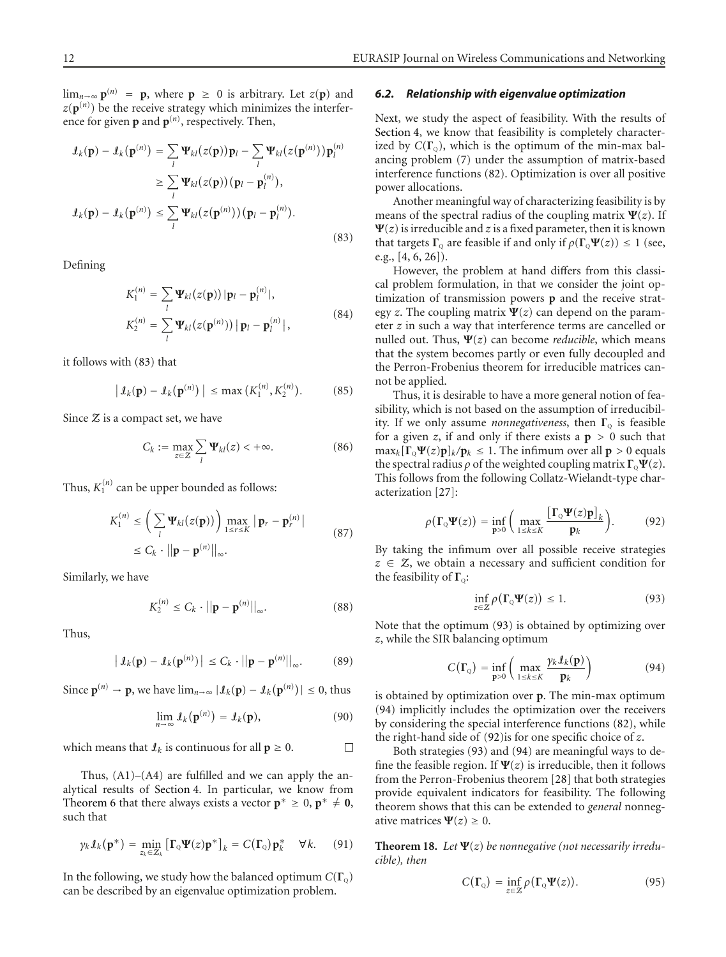lim<sub>*n*→∞</sub>  $p^{(n)} = p$ , where  $p \ge 0$  is arbitrary. Let *z*(*p*) and  $z(\mathbf{p}^{(n)})$  be the receive strategy which minimizes the interference for given  $\mathbf{p}$  and  $\mathbf{p}^{(n)}$ , respectively. Then,

$$
\mathcal{I}_k(\mathbf{p}) - \mathcal{I}_k(\mathbf{p}^{(n)}) = \sum_l \mathbf{\Psi}_{kl}(z(\mathbf{p})) \mathbf{p}_l - \sum_l \mathbf{\Psi}_{kl}(z(\mathbf{p}^{(n)})) \mathbf{p}_l^{(n)}
$$
  
\n
$$
\geq \sum_l \mathbf{\Psi}_{kl}(z(\mathbf{p})) (\mathbf{p}_l - \mathbf{p}_l^{(n)}),
$$
  
\n
$$
\mathcal{I}_k(\mathbf{p}) - \mathcal{I}_k(\mathbf{p}^{(n)}) \leq \sum_l \mathbf{\Psi}_{kl}(z(\mathbf{p}^{(n)})) (\mathbf{p}_l - \mathbf{p}_l^{(n)}).
$$
\n(83)

Defining

$$
K_1^{(n)} = \sum_l \Psi_{kl}(z(\mathbf{p})) |\mathbf{p}_l - \mathbf{p}_l^{(n)}|,
$$
  
\n
$$
K_2^{(n)} = \sum_l \Psi_{kl}(z(\mathbf{p}^{(n)})) |\mathbf{p}_l - \mathbf{p}_l^{(n)}|,
$$
\n(84)

it follows with [\(83\)](#page-11-0) that

$$
|\,\mathbf{1}_k(\mathbf{p}) - \mathbf{1}_k(\mathbf{p}^{(n)})\,| \leq \max\big(K_1^{(n)}, K_2^{(n)}\big). \tag{85}
$$

Since  $Z$  is a compact set, we have

$$
C_k := \max_{z \in \mathcal{Z}} \sum_l \Psi_{kl}(z) < +\infty. \tag{86}
$$

Thus,  $K_1^{(n)}$  can be upper bounded as follows:

$$
K_1^{(n)} \le \left(\sum_l \mathbf{\Psi}_{kl}(z(\mathbf{p}))\right) \max_{1 \le r \le K} |\mathbf{p}_r - \mathbf{p}_r^{(n)}|
$$
  
 
$$
\le C_k \cdot ||\mathbf{p} - \mathbf{p}^{(n)}||_{\infty}.
$$
 (87)

Similarly, we have

$$
K_2^{(n)} \le C_k \cdot ||\mathbf{p} - \mathbf{p}^{(n)}||_{\infty}.
$$
 (88)

Thus,

$$
\left| \mathbf{1}_{k}(\mathbf{p}) - \mathbf{1}_{k}(\mathbf{p}^{(n)}) \right| \leq C_{k} \cdot ||\mathbf{p} - \mathbf{p}^{(n)}||_{\infty}.
$$
 (89)

Since  $\mathbf{p}^{(n)} \to \mathbf{p}$ , we have  $\lim_{n \to \infty} |\mathcal{I}_k(\mathbf{p}) - \mathcal{I}_k(\mathbf{p}^{(n)})| \le 0$ , thus

$$
\lim_{n\to\infty} \mathcal{L}_k(\mathbf{p}^{(n)}) = \mathcal{L}_k(\mathbf{p}),\tag{90}
$$

which means that  $\ell_k$  is continuous for all  $p \geq 0$ .  $\Box$ 

Thus,  $(A1)$ – $(A4)$  are fulfilled and we can apply the analytical results of [Section 4.](#page-4-8) In particular, we know from [Theorem 6](#page-6-1) that there always exists a vector  $\mathbf{p}^* \geq 0$ ,  $\mathbf{p}^* \neq \mathbf{0}$ , such that

$$
\gamma_k \mathcal{I}_k(\mathbf{p}^*) = \min_{z_k \in \mathcal{Z}_k} \left[ \mathbf{\Gamma}_{\scriptscriptstyle{\mathbb{Q}}} \Psi(z) \mathbf{p}^* \right]_k = C(\mathbf{\Gamma}_{\scriptscriptstyle{\mathbb{Q}}}) \mathbf{p}_k^* \quad \forall k. \tag{91}
$$

In the following, we study how the balanced optimum  $C(\Gamma_0)$ can be described by an eigenvalue optimization problem.

#### <span id="page-11-4"></span>*6.2. Relationship with eigenvalue optimization*

Next, we study the aspect of feasibility. With the results of [Section 4,](#page-4-8) we know that feasibility is completely characterized by  $C(\Gamma_0)$ , which is the optimum of the min-max balancing problem [\(7\)](#page-3-6) under the assumption of matrix-based interference functions [\(82\)](#page-10-2). Optimization is over all positive power allocations.

<span id="page-11-0"></span>Another meaningful way of characterizing feasibility is by means of the spectral radius of the coupling matrix  $\Psi(z)$ . If  $\Psi(z)$  is irreducible and *z* is a fixed parameter, then it is known that targets  $\Gamma_0$  are feasible if and only if  $\rho(\Gamma_0 \Psi(z)) \leq 1$  (see, e.g.,  $[4, 6, 26]$  $[4, 6, 26]$  $[4, 6, 26]$  $[4, 6, 26]$  $[4, 6, 26]$ .

However, the problem at hand differs from this classical problem formulation, in that we consider the joint optimization of transmission powers **p** and the receive strategy *z*. The coupling matrix  $\Psi(z)$  can depend on the parameter *z* in such a way that interference terms are cancelled or nulled out. Thus, **Ψ**(*z*) can become *reducible*, which means that the system becomes partly or even fully decoupled and the Perron-Frobenius theorem for irreducible matrices cannot be applied.

Thus, it is desirable to have a more general notion of feasibility, which is not based on the assumption of irreducibility. If we only assume *nonnegativeness*, then Γ<sub>o</sub> is feasible for a given *z*, if and only if there exists a  $p > 0$  such that  $\max_k [\Gamma_{\mathbb{Q}} \Psi(z) \mathbf{p}]_k / \mathbf{p}_k \leq 1$ . The infimum over all  $\mathbf{p} > 0$  equals the spectral radius  $\rho$  of the weighted coupling matrix  $\Gamma_0 \Psi(z)$ . This follows from the following Collatz-Wielandt-type characterization [\[27\]](#page-17-0):

$$
\rho(\Gamma_{Q}\Psi(z)) = \inf_{\mathbf{p} > 0} \left( \max_{1 \le k \le K} \frac{\left[\Gamma_{Q}\Psi(z)\mathbf{p}\right]_{k}}{\mathbf{p}_{k}} \right). \tag{92}
$$

By taking the infimum over all possible receive strategies *<sup>z</sup>* <sup>∈</sup> <sup>Z</sup>, we obtain a necessary and sufficient condition for the feasibility of Γ<sub>0</sub>:

<span id="page-11-3"></span><span id="page-11-2"></span><span id="page-11-1"></span>
$$
\inf_{z\in\mathcal{Z}}\rho\big(\Gamma_{\mathcal{Q}}\Psi(z)\big)\leq 1.\tag{93}
$$

Note that the optimum [\(93\)](#page-11-1) is obtained by optimizing over *z*, while the SIR balancing optimum

$$
C(\Gamma_{Q}) = \inf_{\mathbf{p} > 0} \left( \max_{1 \leq k \leq K} \frac{\gamma_{k} \mathbf{1}_{k}(\mathbf{p})}{\mathbf{p}_{k}} \right) \tag{94}
$$

is obtained by optimization over **p**. The min-max optimum [\(94\)](#page-11-2) implicitly includes the optimization over the receivers by considering the special interference functions [\(82\)](#page-10-2), while the right-hand side of [\(92\)](#page-11-3)is for one specific choice of *z*.

Both strategies [\(93\)](#page-11-1) and [\(94\)](#page-11-2) are meaningful ways to define the feasible region. If  $\Psi(z)$  is irreducible, then it follows from the Perron-Frobenius theorem [\[28\]](#page-17-1) that both strategies provide equivalent indicators for feasibility. The following theorem shows that this can be extended to *general* nonnegative matrices  $\Psi(z) \geq 0$ .

**Theorem 18.** Let  $\Psi(z)$  be nonnegative (not necessarily irredu*cible), then*

$$
C(\Gamma_{Q}) = \inf_{z \in \mathcal{Z}} \rho(\Gamma_{Q} \Psi(z)).
$$
 (95)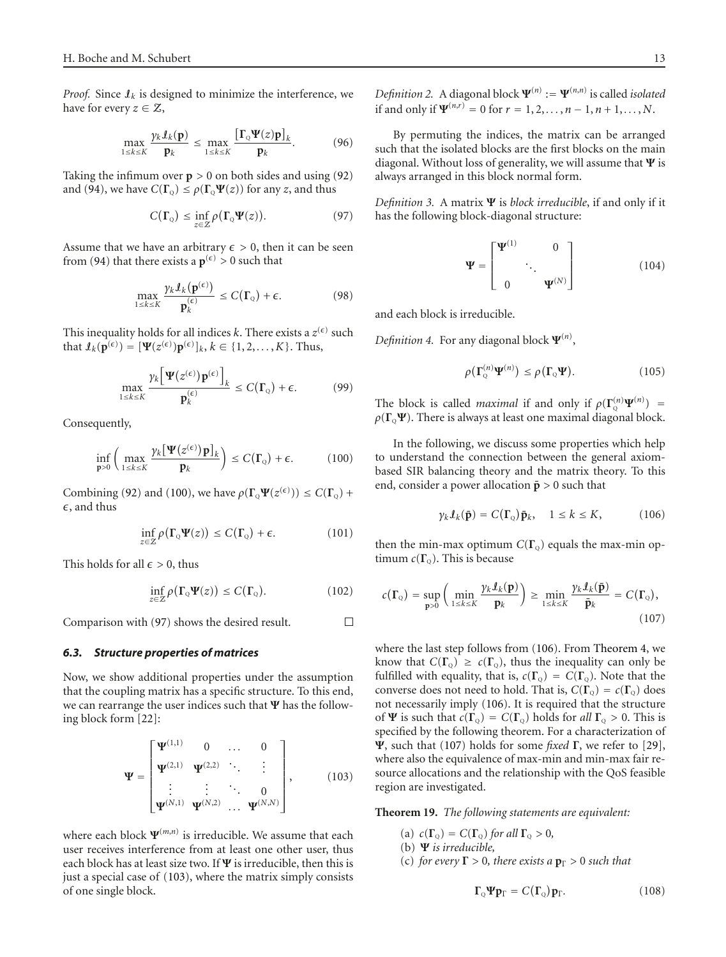*Proof.* Since  $I_k$  is designed to minimize the interference, we have for every  $z \in \mathcal{Z}$ ,

$$
\max_{1\leq k\leq K}\frac{\gamma_k\mathbf{1}_k(\mathbf{p})}{\mathbf{p}_k}\leq \max_{1\leq k\leq K}\frac{\left[\Gamma_{\scriptscriptstyle{Q}}\Psi(z)\mathbf{p}\right]_k}{\mathbf{p}_k}.\tag{96}
$$

Taking the infimum over  $p > 0$  on both sides and using [\(92\)](#page-11-3) and [\(94\)](#page-11-2), we have  $C(\Gamma_0) \le \rho(\Gamma_0 \Psi(z))$  for any *z*, and thus

<span id="page-12-2"></span>
$$
C(\Gamma_{Q}) \le \inf_{z \in \mathcal{Z}} \rho(\Gamma_{Q} \Psi(z)). \tag{97}
$$

Assume that we have an arbitrary  $\epsilon > 0$ , then it can be seen from [\(94\)](#page-11-2) that there exists a  $p^{(\epsilon)} > 0$  such that

$$
\max_{1 \le k \le K} \frac{\gamma_k \mathcal{I}_k(\mathbf{p}^{(\epsilon)})}{\mathbf{p}^{(\epsilon)}_k} \le C(\Gamma_{\mathbf{Q}}) + \epsilon. \tag{98}
$$

This inequality holds for all indices *k*. There exists a  $z^{(\epsilon)}$  such that  $\mathcal{I}_k(\mathbf{p}^{(\epsilon)}) = [\Psi(z^{(\epsilon)})\mathbf{p}^{(\epsilon)}]_k, k \in \{1, 2, \ldots, K\}$ . Thus,

$$
\max_{1 \le k \le K} \frac{\gamma_k \Big[ \Psi(z^{(\epsilon)}) \mathbf{p}^{(\epsilon)} \Big]_k}{\mathbf{p}_k^{(\epsilon)}} \le C(\Gamma_0) + \epsilon. \tag{99}
$$

Consequently,

$$
\inf_{\mathbf{p} > 0} \left( \max_{1 \le k \le K} \frac{\gamma_k [\mathbf{\Psi}(z^{(\epsilon)}) \mathbf{p}]_k}{\mathbf{p}_k} \right) \le C(\Gamma_{\mathbf{Q}}) + \epsilon. \tag{100}
$$

Combining [\(92\)](#page-11-3) and [\(100\)](#page-12-1), we have  $\rho(\Gamma_{\mathbb{Q}}\Psi(z^{(\epsilon)})) \leq C(\Gamma_{\mathbb{Q}})$  +  $\epsilon$ , and thus

$$
\inf_{z \in \mathcal{Z}} \rho(\Gamma_{\mathcal{Q}} \Psi(z)) \leq C(\Gamma_{\mathcal{Q}}) + \epsilon. \tag{101}
$$

This holds for all  $\epsilon > 0$ , thus

$$
\inf_{z\in\mathcal{Z}}\rho(\Gamma_{\mathcal{Q}}\Psi(z))\leq C(\Gamma_{\mathcal{Q}}). \tag{102}
$$

 $\Box$ Comparison with [\(97\)](#page-12-2) shows the desired result.

#### <span id="page-12-0"></span>*6.3. Structure properties of matrices*

Now, we show additional properties under the assumption that the coupling matrix has a specific structure. To this end, we can rearrange the user indices such that **Ψ** has the following block form [\[22\]](#page-16-16):

<span id="page-12-3"></span>
$$
\Psi = \begin{bmatrix} \Psi^{(1,1)} & 0 & \dots & 0 \\ \Psi^{(2,1)} & \Psi^{(2,2)} & \ddots & \vdots \\ \vdots & \vdots & \ddots & 0 \\ \Psi^{(N,1)} & \Psi^{(N,2)} & \dots & \Psi^{(N,N)} \end{bmatrix},
$$
(103)

where each block  $\Psi^{(m,n)}$  is irreducible. We assume that each user receives interference from at least one other user, thus each block has at least size two. If **Ψ** is irreducible, then this is just a special case of [\(103\)](#page-12-3), where the matrix simply consists of one single block.

*Definition 2.* A diagonal block  $\Psi^{(n)} := \Psi^{(n,n)}$  is called *isolated* if and only if  $\Psi^{(n,r)} = 0$  for  $r = 1, 2, ..., n-1, n+1, ..., N$ .

By permuting the indices, the matrix can be arranged such that the isolated blocks are the first blocks on the main diagonal. Without loss of generality, we will assume that **Ψ** is always arranged in this block normal form.

*Definition 3.* A matrix **Ψ** is *block irreducible*, if and only if it has the following block-diagonal structure:

$$
\mathbf{\Psi} = \begin{bmatrix} \mathbf{\Psi}^{(1)} & 0 \\ \vdots & \ddots \\ 0 & \mathbf{\Psi}^{(N)} \end{bmatrix} \tag{104}
$$

and each block is irreducible.

*Definition 4.* For any diagonal block **Ψ**(*n*) ,

$$
\rho(\Gamma_{\mathbf{Q}}^{(n)}\mathbf{\Psi}^{(n)}) \leq \rho(\Gamma_{\mathbf{Q}}\mathbf{\Psi}). \tag{105}
$$

The block is called *maximal* if and only if  $\rho(\Gamma_{\mathbb{Q}}^{(n)}\Psi^{(n)})$  $\rho(\Gamma_0 \Psi)$ . There is always at least one maximal diagonal block.

<span id="page-12-1"></span>In the following, we discuss some properties which help to understand the connection between the general axiombased SIR balancing theory and the matrix theory. To this end, consider a power allocation  $\bar{p} > 0$  such that

<span id="page-12-5"></span><span id="page-12-4"></span>
$$
\gamma_k \mathcal{I}_k(\bar{\mathbf{p}}) = C(\Gamma_{\mathbf{Q}}) \bar{\mathbf{p}}_k, \quad 1 \le k \le K,
$$
 (106)

then the min-max optimum  $C(\Gamma_0)$  equals the max-min optimum  $c(\Gamma_0)$ . This is because

$$
c(\Gamma_{\mathbb{Q}}) = \sup_{\mathbf{p} > 0} \left( \min_{1 \leq k \leq K} \frac{\gamma_k \mathcal{I}_k(\mathbf{p})}{\mathbf{p}_k} \right) \geq \min_{1 \leq k \leq K} \frac{\gamma_k \mathcal{I}_k(\bar{\mathbf{p}})}{\bar{\mathbf{p}}_k} = C(\Gamma_{\mathbb{Q}}), \tag{107}
$$

where the last step follows from [\(106\)](#page-12-4). From [Theorem 4,](#page-5-8) we know that  $C(\Gamma_0) \geq c(\Gamma_0)$ , thus the inequality can only be fulfilled with equality, that is,  $c(\Gamma_{Q}) = C(\Gamma_{Q})$ . Note that the converse does not need to hold. That is,  $C(\Gamma_0) = c(\Gamma_0)$  does not necessarily imply [\(106\)](#page-12-4). It is required that the structure of **Ψ** is such that  $c(\Gamma_{Q}) = C(\Gamma_{Q})$  holds for *all*  $\Gamma_{Q} > 0$ . This is specified by the following theorem. For a characterization of **Ψ**, such that [\(107\)](#page-12-5) holds for some *fixed* **Γ**, we refer to [\[29](#page-17-2)], where also the equivalence of max-min and min-max fair resource allocations and the relationship with the QoS feasible region are investigated.

**Theorem 19.** *The following statements are equivalent:*

- (a)  $c(\Gamma_{\mathcal{Q}}) = C(\Gamma_{\mathcal{Q}})$  *for all*  $\Gamma_{\mathcal{Q}} > 0$ *,*
- (b) **Ψ** *is irreducible,*
- (c) *for every*  $\Gamma > 0$ *, there exists a*  $p_{\Gamma} > 0$  *such that*

<span id="page-12-6"></span>
$$
\Gamma_{Q}\Psi\mathbf{p}_{\Gamma}=C(\Gamma_{Q})\mathbf{p}_{\Gamma}.
$$
 (108)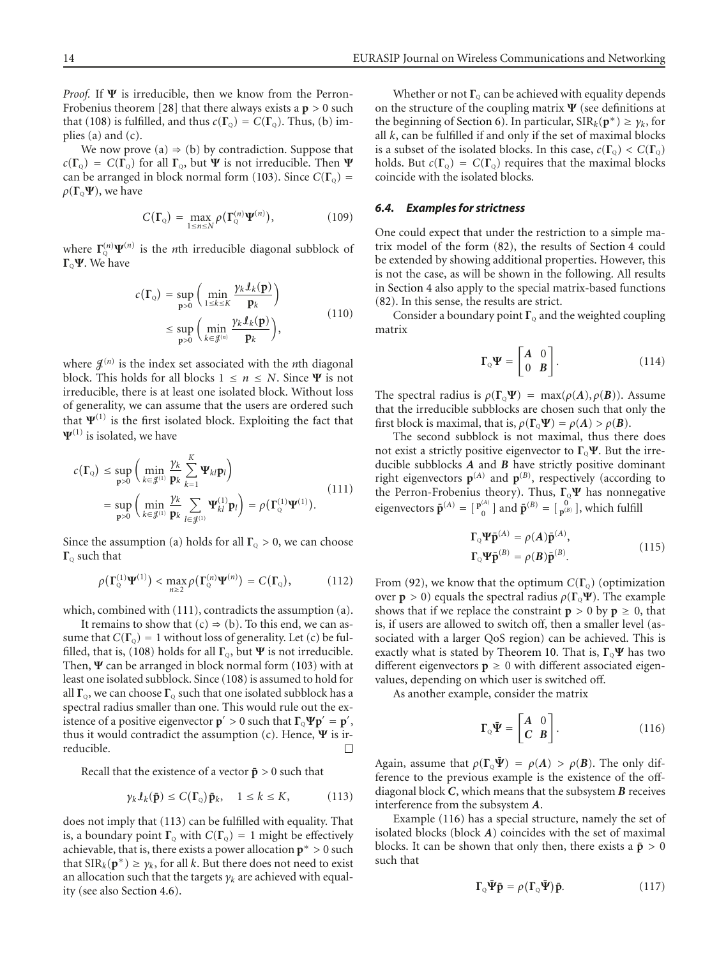*Proof.* If **Ψ** is irreducible, then we know from the Perron-Frobenius theorem [\[28\]](#page-17-1) that there always exists a **p** *>* 0 such that [\(108\)](#page-12-6) is fulfilled, and thus  $c(\Gamma_0) = C(\Gamma_0)$ . Thus, (b) implies (a) and (c).

We now prove (a)  $\Rightarrow$  (b) by contradiction. Suppose that  $c(\Gamma_{Q}) = C(\Gamma_{Q})$  for all  $\Gamma_{Q}$ , but **Ψ** is not irreducible. Then **Ψ** can be arranged in block normal form [\(103\)](#page-12-3). Since  $C(\Gamma_{Q})$  =  $ρ(Γ<sub>Q</sub>Ψ)$ , we have

$$
C(\Gamma_{\mathbf{Q}}) = \max_{1 \leq n \leq N} \rho(\Gamma_{\mathbf{Q}}^{(n)} \mathbf{\Psi}^{(n)}), \qquad (109)
$$

where  $\Gamma^{(n)}_{\alpha} \Psi^{(n)}$  is the *n*th irreducible diagonal subblock of **Γ**Q**Ψ**. We have

$$
c(\mathbf{\Gamma}_{Q}) = \sup_{\mathbf{p}>0} \left( \min_{1 \le k \le K} \frac{\gamma_{k} \mathbf{\mathit{I}}_{k}(\mathbf{p})}{\mathbf{p}_{k}} \right)
$$
  
 
$$
\le \sup_{\mathbf{p}>0} \left( \min_{k \in \mathcal{J}^{(n)}} \frac{\gamma_{k} \mathbf{\mathit{I}}_{k}(\mathbf{p})}{\mathbf{p}_{k}} \right), \tag{110}
$$

where  $\mathcal{J}^{(n)}$  is the index set associated with the *n*th diagonal block. This holds for all blocks  $1 \le n \le N$ . Since  $\Psi$  is not irreducible, there is at least one isolated block. Without loss of generality, we can assume that the users are ordered such that  $\Psi^{(1)}$  is the first isolated block. Exploiting the fact that  $\Psi^{(1)}$  is isolated, we have

$$
c(\Gamma_{Q}) \le \sup_{\mathbf{p}>0} \left( \min_{k \in \mathcal{J}^{(1)}} \frac{\gamma_{k}}{\mathbf{p}_{k}} \sum_{k=1}^{K} \Psi_{kl} \mathbf{p}_{l} \right)
$$
  
= 
$$
\sup_{\mathbf{p}>0} \left( \min_{k \in \mathcal{J}^{(1)}} \frac{\gamma_{k}}{\mathbf{p}_{k}} \sum_{l \in \mathcal{J}^{(1)}} \Psi_{kl}^{(1)} \mathbf{p}_{l} \right) = \rho(\Gamma_{Q}^{(1)} \Psi^{(1)}).
$$
 (111)

Since the assumption (a) holds for all  $\Gamma_{\text{Q}} > 0$ , we can choose **Γ**<sup>Q</sup> such that

$$
\rho(\Gamma_{\mathbf{Q}}^{(1)}\mathbf{\Psi}^{(1)}) < \max_{n\geq 2} \rho(\Gamma_{\mathbf{Q}}^{(n)}\mathbf{\Psi}^{(n)}) = C(\Gamma_{\mathbf{Q}}), \qquad (112)
$$

which, combined with [\(111\)](#page-13-0), contradicts the assumption (a).

It remains to show that  $(c) \Rightarrow (b)$ . To this end, we can assume that  $C(\Gamma_{Q}) = 1$  without loss of generality. Let (c) be ful-filled, that is, [\(108\)](#page-12-6) holds for all  $\Gamma_{Q}$ , but  $\Psi$  is not irreducible. Then, **Ψ** can be arranged in block normal form [\(103\)](#page-12-3) with at least one isolated subblock. Since [\(108\)](#page-12-6) is assumed to hold for all  $\Gamma$ <sub>o</sub>, we can choose  $\Gamma$ <sub>o</sub> such that one isolated subblock has a spectral radius smaller than one. This would rule out the existence of a positive eigenvector  $\mathbf{p}' > 0$  such that  $\mathbf{\Gamma}_{\mathbb{Q}} \Psi \mathbf{p}' = \mathbf{p}'$ , thus it would contradict the assumption (c). Hence, **Ψ** is irreducible.  $\Box$ 

Recall that the existence of a vector  $\bar{p} > 0$  such that

<span id="page-13-1"></span>
$$
\gamma_k \mathcal{I}_k(\bar{\mathbf{p}}) \le C(\Gamma_{\mathbf{Q}}) \bar{\mathbf{p}}_k, \quad 1 \le k \le K,
$$
 (113)

does not imply that [\(113\)](#page-13-1) can be fulfilled with equality. That is, a boundary point  $\Gamma_{\text{Q}}$  with  $C(\Gamma_{\text{Q}}) = 1$  might be effectively achievable, that is, there exists a power allocation **p**<sup>∗</sup> *>* 0 such that  $SIR_k(\mathbf{p}^*) \geq \gamma_k$ , for all *k*. But there does not need to exist an allocation such that the targets *γk* are achieved with equality (see also [Section 4.6\)](#page-8-4).

Whether or not  $\Gamma$ <sup>o</sup> can be achieved with equality depends on the structure of the coupling matrix **Ψ** (see definitions at the beginning of [Section 6\)](#page-10-0). In particular,  $\text{SIR}_k(\mathbf{p}^*) \geq \gamma_k$ , for all *k*, can be fulfilled if and only if the set of maximal blocks is a subset of the isolated blocks. In this case,  $c(\Gamma_0) < C(\Gamma_0)$ holds. But  $c(\Gamma_{Q}) = C(\Gamma_{Q})$  requires that the maximal blocks coincide with the isolated blocks.

# *6.4. Examples for strictness*

One could expect that under the restriction to a simple matrix model of the form [\(82\)](#page-10-2), the results of [Section 4](#page-4-8) could be extended by showing additional properties. However, this is not the case, as will be shown in the following. All results in [Section 4](#page-4-8) also apply to the special matrix-based functions [\(82\)](#page-10-2). In this sense, the results are strict.

Consider a boundary point  $\Gamma$ <sub>0</sub> and the weighted coupling matrix

$$
\mathbf{\Gamma}_{\mathbf{Q}}\mathbf{\Psi} = \begin{bmatrix} \mathbf{A} & 0 \\ 0 & \mathbf{B} \end{bmatrix} . \tag{114}
$$

The spectral radius is  $\rho(\Gamma_0 \Psi) = \max(\rho(A), \rho(B))$ . Assume that the irreducible subblocks are chosen such that only the first block is maximal, that is,  $\rho(\Gamma_0 \Psi) = \rho(A) > \rho(B)$ .

<span id="page-13-0"></span>The second subblock is not maximal, thus there does not exist a strictly positive eigenvector to **Γ**Q**Ψ**. But the irreducible subblocks *A* and *B* have strictly positive dominant right eigenvectors  $\mathbf{p}^{(A)}$  and  $\mathbf{p}^{(B)}$ , respectively (according to the Perron-Frobenius theory). Thus,  $\Gamma_Q\Psi$  has nonnegative eigenvectors  $\bar{\mathbf{p}}^{(A)} = [\mathbf{p}_0^{(A)}]$  and  $\bar{\mathbf{p}}^{(B)} = [\mathbf{p}_0^{(B)}]$ , which fulfill

$$
\Gamma_{Q} \Psi \bar{\mathbf{p}}^{(A)} = \rho(A) \bar{\mathbf{p}}^{(A)},
$$
  
\n
$$
\Gamma_{Q} \Psi \bar{\mathbf{p}}^{(B)} = \rho(B) \bar{\mathbf{p}}^{(B)}.
$$
\n(115)

From [\(92\)](#page-11-3), we know that the optimum  $C(\Gamma_0)$  (optimization over **p**  $> 0$ ) equals the spectral radius  $\rho(\Gamma_0 \Psi)$ . The example shows that if we replace the constraint  $p > 0$  by  $p \ge 0$ , that is, if users are allowed to switch off, then a smaller level (associated with a larger QoS region) can be achieved. This is exactly what is stated by [Theorem 10.](#page-8-2) That is,  $\Gamma_0$ **Ψ** has two different eigenvectors  $p \geq 0$  with different associated eigenvalues, depending on which user is switched off.

As another example, consider the matrix

<span id="page-13-2"></span>
$$
\Gamma_{Q}\bar{\Psi} = \begin{bmatrix} A & 0 \\ C & B \end{bmatrix}.
$$
 (116)

Again, assume that  $\rho(\Gamma_{\mathbb{Q}}\bar{\Psi}) = \rho(A) > \rho(B)$ . The only difference to the previous example is the existence of the offdiagonal block *C*, which means that the subsystem *B* receives interference from the subsystem *A*.

Example [\(116\)](#page-13-2) has a special structure, namely the set of isolated blocks (block *A*) coincides with the set of maximal blocks. It can be shown that only then, there exists a  $\bar{p} > 0$ such that

$$
\Gamma_{Q}\bar{\Psi}\bar{\mathbf{p}} = \rho(\Gamma_{Q}\bar{\Psi})\bar{\mathbf{p}}.
$$
 (117)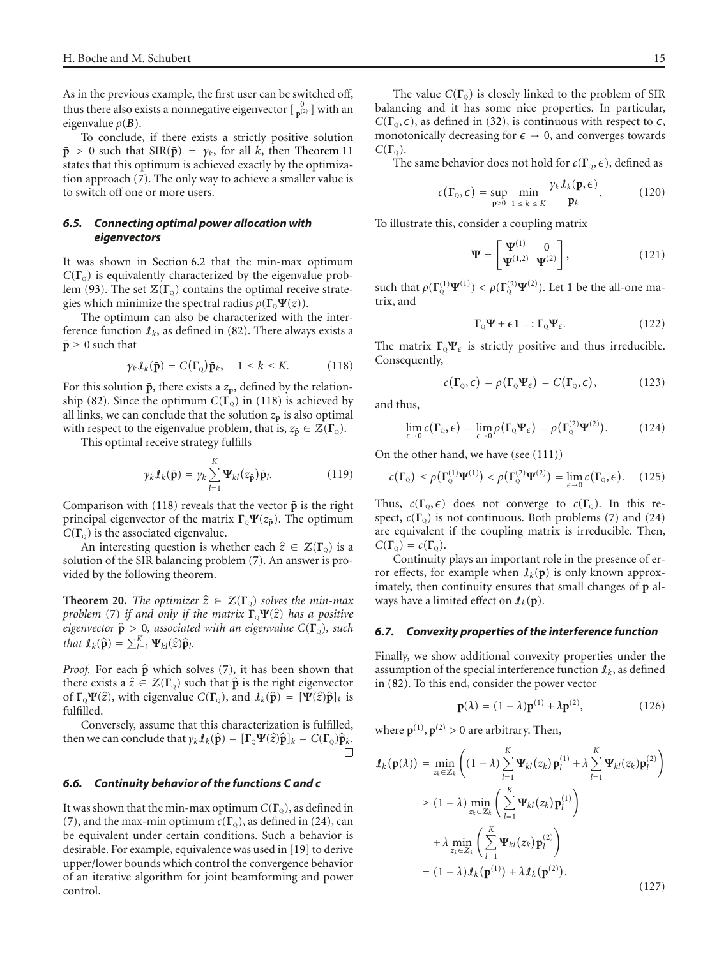As in the previous example, the first user can be switched off, thus there also exists a nonnegative eigenvector  $\begin{bmatrix} 0 \\ p^{(2)} \end{bmatrix}$  with an eigenvalue  $\rho(\mathbf{B})$ .

To conclude, if there exists a strictly positive solution  $\bar{\mathbf{p}} > 0$  such that  $\text{SIR}(\bar{\mathbf{p}}) = \gamma_k$ , for all *k*, then [Theorem 11](#page-8-0) states that this optimum is achieved exactly by the optimization approach [\(7\)](#page-3-6). The only way to achieve a smaller value is to switch off one or more users.

# *6.5. Connecting optimal power allocation with eigenvectors*

It was shown in [Section 6.2](#page-11-4) that the min-max optimum  $C(\Gamma_{\rm o})$  is equivalently characterized by the eigenvalue prob-lem [\(93\)](#page-11-1). The set  $\mathcal{Z}(\Gamma_0)$  contains the optimal receive strategies which minimize the spectral radius  $\rho(\Gamma_0 \Psi(z))$ .

The optimum can also be characterized with the interference function  $\mathcal{I}_k$ , as defined in [\(82\)](#page-10-2). There always exists a  $\bar{\mathbf{p}} \geq 0$  such that

<span id="page-14-0"></span>
$$
\gamma_k \mathcal{I}_k(\bar{\mathbf{p}}) = C(\Gamma_{\mathbf{Q}}) \bar{\mathbf{p}}_k, \quad 1 \le k \le K. \tag{118}
$$

For this solution  $\bar{p}$ , there exists a  $z_{\bar{p}}$ , defined by the relation-ship [\(82\)](#page-10-2). Since the optimum  $C(\Gamma_0)$  in [\(118\)](#page-14-0) is achieved by all links, we can conclude that the solution  $z_{\bar{p}}$  is also optimal with respect to the eigenvalue problem, that is,  $z_{\bar{p}} \in \mathcal{Z}(\Gamma_{Q})$ .

This optimal receive strategy fulfills

$$
\gamma_k \mathcal{I}_k(\bar{\mathbf{p}}) = \gamma_k \sum_{l=1}^K \Psi_{kl}(z_{\bar{\mathbf{p}}}) \bar{\mathbf{p}}_l.
$$
 (119)

Comparison with  $(118)$  reveals that the vector  $\bar{p}$  is the right principal eigenvector of the matrix  $\Gamma_{\text{o}}\Psi(z_{\bar{\text{p}}})$ . The optimum  $C(\Gamma_0)$  is the associated eigenvalue.

An interesting question is whether each  $\hat{z} \in \mathcal{Z}(\Gamma_0)$  is a solution of the SIR balancing problem [\(7\)](#page-3-6). An answer is provided by the following theorem.

**Theorem 20.** *The optimizer*  $\hat{z} \in \mathcal{Z}(\Gamma_0)$  *solves the min-max problem* [\(7\)](#page-3-6) *if and only if the matrix* **<sup>Γ</sup>**Q**Ψ**(*z*) *has a positive eigenvector*  $\hat{\mathbf{p}} > 0$ *, associated with an eigenvalue*  $C(\mathbf{\Gamma}_{\mathbf{Q}})$ *, such that*  $\mathbf{I}_k(\hat{\mathbf{p}}) = \sum_{l=1}^K \Psi_{kl}(\hat{z}) \hat{\mathbf{p}}_l$ .

*Proof.* For each  $\hat{p}$  which solves [\(7\)](#page-3-6), it has been shown that there exists a  $\hat{z} \in \mathcal{Z}(\Gamma_{Q})$  such that  $\hat{\mathbf{p}}$  is the right eigenvector of  $\Gamma_{\text{o}}\Psi(\hat{z})$ , with eigenvalue  $C(\Gamma_{\text{o}})$ , and  $\mathcal{I}_k(\hat{\mathbf{p}}) = [\Psi(\hat{z})\hat{\mathbf{p}}]_k$  is fulfilled.

Conversely, assume that this characterization is fulfilled, then we can conclude that  $\gamma_k \mathcal{I}_k(\hat{\mathbf{p}}) = [\Gamma_{\mathbf{Q}} \Psi(\hat{z}) \hat{\mathbf{p}}]_k = C(\Gamma_{\mathbf{Q}}) \hat{\mathbf{p}}_k$ .

# *6.6. Continuity behavior of the functions C and c*

It was shown that the min-max optimum  $C(\Gamma_0)$ , as defined in [\(7\)](#page-3-6), and the max-min optimum  $c(\Gamma_0)$ , as defined in [\(24\)](#page-5-0), can be equivalent under certain conditions. Such a behavior is desirable. For example, equivalence was used in [\[19\]](#page-16-19) to derive upper/lower bounds which control the convergence behavior of an iterative algorithm for joint beamforming and power control.

The value  $C(\Gamma_0)$  is closely linked to the problem of SIR balancing and it has some nice properties. In particular,  $C(\Gamma_{Q}, \epsilon)$ , as defined in [\(32\)](#page-5-3), is continuous with respect to  $\epsilon$ , monotonically decreasing for  $\epsilon \to 0$ , and converges towards  $C(\Gamma_{\rm o})$ .

The same behavior does not hold for  $c(\Gamma_0, \epsilon)$ , defined as

$$
c(\Gamma_{Q}, \epsilon) = \sup_{\mathbf{p} > 0} \min_{1 \leq k \leq K} \frac{\gamma_{k} \mathcal{I}_{k}(\mathbf{p}, \epsilon)}{\mathbf{p}_{k}}.
$$
 (120)

To illustrate this, consider a coupling matrix

$$
\Psi = \begin{bmatrix} \Psi^{(1)} & 0 \\ \Psi^{(1,2)} & \Psi^{(2)} \end{bmatrix}, \tag{121}
$$

such that  $\rho(\Gamma_{\mathbb{Q}}^{(1)}\Psi^{(1)}) < \rho(\Gamma_{\mathbb{Q}}^{(2)}\Psi^{(2)})$ . Let 1 be the all-one matrix, and

$$
\Gamma_{Q}\Psi + \epsilon \mathbf{1} =: \Gamma_{Q}\Psi_{\epsilon}.
$$
 (122)

The matrix  $\Gamma_{\mathbb{Q}} \Psi_{\epsilon}$  is strictly positive and thus irreducible. Consequently,

$$
c(\Gamma_{\mathcal{Q}}, \epsilon) = \rho(\Gamma_{\mathcal{Q}} \Psi_{\epsilon}) = C(\Gamma_{\mathcal{Q}}, \epsilon), \qquad (123)
$$

and thus,

$$
\lim_{\epsilon \to 0} c(\Gamma_{\mathcal{Q}}, \epsilon) = \lim_{\epsilon \to 0} \rho(\Gamma_{\mathcal{Q}} \Psi_{\epsilon}) = \rho(\Gamma_{\mathcal{Q}}^{(2)} \Psi^{(2)}).
$$
 (124)

On the other hand, we have (see [\(111\)](#page-13-0))

$$
c(\Gamma_{\mathbf{Q}}) \leq \rho(\Gamma_{\mathbf{Q}}^{(1)} \mathbf{\Psi}^{(1)}) < \rho(\Gamma_{\mathbf{Q}}^{(2)} \mathbf{\Psi}^{(2)}) = \lim_{\epsilon \to 0} c(\Gamma_{\mathbf{Q}}, \epsilon). \quad (125)
$$

Thus,  $c(\Gamma_{Q}, \epsilon)$  does not converge to  $c(\Gamma_{Q})$ . In this respect,  $c(\Gamma_{Q})$  is not continuous. Both problems [\(7\)](#page-3-6) and [\(24\)](#page-5-0) are equivalent if the coupling matrix is irreducible. Then,  $C(\Gamma_{\mathcal{Q}}) = c(\Gamma_{\mathcal{Q}}).$ 

Continuity plays an important role in the presence of error effects, for example when  $\mathcal{I}_k(\mathbf{p})$  is only known approximately, then continuity ensures that small changes of **p** always have a limited effect on  $\mathcal{I}_k(\mathbf{p})$ .

# *6.7. Convexity properties of the interference function*

Finally, we show additional convexity properties under the assumption of the special interference function  $\mathcal{I}_k$ , as defined in [\(82\)](#page-10-2). To this end, consider the power vector

$$
\mathbf{p}(\lambda) = (1 - \lambda)\mathbf{p}^{(1)} + \lambda \mathbf{p}^{(2)},
$$
 (126)

where  $\mathbf{p}^{(1)}$ ,  $\mathbf{p}^{(2)} > 0$  are arbitrary. Then,

$$
\mathcal{I}_{k}(\mathbf{p}(\lambda)) = \min_{z_{k} \in \mathcal{Z}_{k}} \left( (1 - \lambda) \sum_{l=1}^{K} \mathbf{\Psi}_{kl}(z_{k}) \mathbf{p}_{l}^{(1)} + \lambda \sum_{l=1}^{K} \mathbf{\Psi}_{kl}(z_{k}) \mathbf{p}_{l}^{(2)} \right)
$$
\n
$$
\geq (1 - \lambda) \min_{z_{k} \in \mathcal{Z}_{k}} \left( \sum_{l=1}^{K} \mathbf{\Psi}_{kl}(z_{k}) \mathbf{p}_{l}^{(1)} \right)
$$
\n
$$
+ \lambda \min_{z_{k} \in \mathcal{Z}_{k}} \left( \sum_{l=1}^{K} \mathbf{\Psi}_{kl}(z_{k}) \mathbf{p}_{l}^{(2)} \right)
$$
\n
$$
= (1 - \lambda) \mathbf{I}_{k}(\mathbf{p}^{(1)}) + \lambda \mathbf{I}_{k}(\mathbf{p}^{(2)}).
$$
\n(127)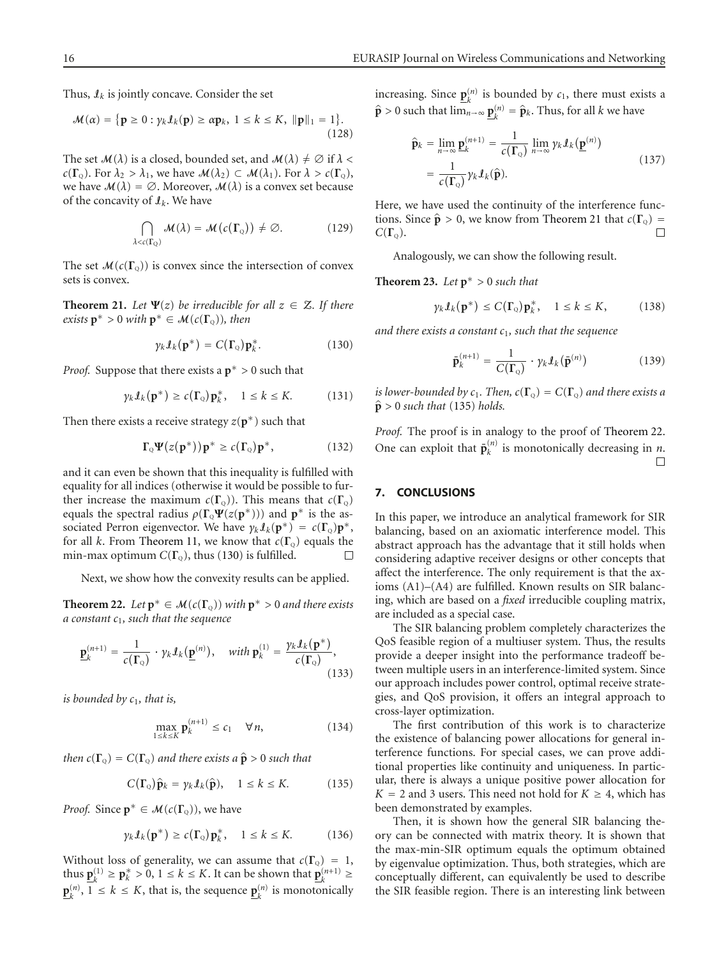Thus,  $\mathcal{I}_k$  is jointly concave. Consider the set

$$
\mathcal{M}(\alpha) = \{ \mathbf{p} \ge 0 : \gamma_k \mathcal{I}_k(\mathbf{p}) \ge \alpha \mathbf{p}_k, \ 1 \le k \le K, \ \|\mathbf{p}\|_1 = 1 \}.
$$
\n(128)

The set  $\mathcal{M}(\lambda)$  is a closed, bounded set, and  $\mathcal{M}(\lambda) \neq \emptyset$  if  $\lambda$  < *c*(**Γ**<sub>Q</sub>). For  $\lambda_2 > \lambda_1$ , we have  $\mathcal{M}(\lambda_2) \subset \mathcal{M}(\lambda_1)$ . For  $\lambda > c(\mathbf{\Gamma}_Q)$ , we have  $\mathcal{M}(\lambda) = \emptyset$ . Moreover,  $\mathcal{M}(\lambda)$  is a convex set because of the concavity of I*k*. We have

$$
\bigcap_{\lambda < c(\Gamma_{\mathbb{Q}})} \mathcal{M}(\lambda) = \mathcal{M}(c(\Gamma_{\mathbb{Q}})) \neq \varnothing. \tag{129}
$$

<span id="page-15-1"></span>The set  $\mathcal{M}(c(\Gamma_{Q}))$  is convex since the intersection of convex sets is convex.

**Theorem 21.** *Let*  $\Psi(z)$  *be irreducible for all*  $z \in \mathcal{Z}$ *. If there exists*  $\mathbf{p}^* > 0$  *with*  $\mathbf{p}^* \in \mathcal{M}(c(\Gamma_o))$ *, then* 

<span id="page-15-0"></span>
$$
\gamma_k \mathcal{I}_k(\mathbf{p}^*) = C(\mathbf{\Gamma}_Q) \mathbf{p}_k^*.
$$
 (130)

*Proof.* Suppose that there exists a **p**<sup>∗</sup> *>* 0 such that

$$
\gamma_k \mathcal{I}_k(\mathbf{p}^*) \ge c(\Gamma_0) \mathbf{p}_k^*, \quad 1 \le k \le K. \tag{131}
$$

Then there exists a receive strategy  $z(\mathbf{p}^*)$  such that

$$
\Gamma_{Q}\Psi(z(\mathbf{p}^*))\mathbf{p}^* \ge c(\Gamma_{Q})\mathbf{p}^*,\tag{132}
$$

and it can even be shown that this inequality is fulfilled with equality for all indices (otherwise it would be possible to further increase the maximum  $c(\Gamma_0)$ ). This means that  $c(\Gamma_0)$ equals the spectral radius  $\rho(\Gamma_{Q}\Psi(z(\mathbf{p}^*)))$  and  $\mathbf{p}^*$  is the associated Perron eigenvector. We have  $\gamma_k \mathcal{I}_k(\mathbf{p}^*) = c(\mathbf{\Gamma}_0) \mathbf{p}^*$ , for all *k*. From [Theorem 11,](#page-8-0) we know that  $c(\Gamma_0)$  equals the min-max optimum  $C(\Gamma_0)$ , thus [\(130\)](#page-15-0) is fulfilled. Л

Next, we show how the convexity results can be applied.

<span id="page-15-3"></span>**Theorem 22.** *Let*  $p^* \in M(c(\Gamma_q))$  *with*  $p^* > 0$  *and there exists a constant c*1*, such that the sequence*

$$
\underline{\mathbf{p}}_k^{(n+1)} = \frac{1}{c(\mathbf{\Gamma}_{\mathbf{Q}})} \cdot \gamma_k \mathbf{I}_k(\underline{\mathbf{p}}^{(n)}), \quad \text{with } \mathbf{p}_k^{(1)} = \frac{\gamma_k \mathbf{I}_k(\mathbf{p}^*)}{c(\mathbf{\Gamma}_{\mathbf{Q}})},
$$
\n(133)

*is bounded by*  $c_1$ *, that is,* 

<span id="page-15-2"></span>
$$
\max_{1 \le k \le K} \mathbf{p}_k^{(n+1)} \le c_1 \quad \forall n,
$$
\n(134)

*then*  $c(\Gamma_{Q}) = C(\Gamma_{Q})$  *and there exists a*  $\hat{\mathbf{p}} > 0$  *such that* 

$$
C(\Gamma_{Q})\hat{\mathbf{p}}_{k} = \gamma_{k} \mathcal{I}_{k}(\hat{\mathbf{p}}), \quad 1 \leq k \leq K. \tag{135}
$$

*Proof.* Since  $p^* \in \mathcal{M}(c(\Gamma_0))$ , we have

$$
\gamma_k \mathcal{I}_k(\mathbf{p}^*) \ge c(\Gamma_0) \mathbf{p}_k^*, \quad 1 \le k \le K. \tag{136}
$$

Without loss of generality, we can assume that  $c(\Gamma_0) = 1$ , thus  $\underline{\mathbf{p}}_k^{(1)} \ge \underline{\mathbf{p}}_k^* > 0, 1 \le k \le K$ . It can be shown that  $\underline{\mathbf{p}}_k^{(n+1)} \ge$  $\mathbf{p}_k^{(n)}$ ,  $1 \le k \le K$ , that is, the sequence  $\mathbf{p}_k^{(n)}$  is monotonically increasing. Since  $\underline{\mathbf{p}}_k^{(n)}$  is bounded by  $c_1$ , there must exists a  $\hat{\mathbf{p}} > 0$  such that  $\lim_{n \to \infty} \underline{\mathbf{p}}_k^{(n)} = \hat{\mathbf{p}}_k$ . Thus, for all *k* we have

$$
\hat{\mathbf{p}}_k = \lim_{n \to \infty} \mathbf{p}_k^{(n+1)} = \frac{1}{c(\mathbf{\Gamma}_{\mathbf{Q}})} \lim_{n \to \infty} \gamma_k \mathbf{I}_k(\mathbf{p}^{(n)}) \n= \frac{1}{c(\mathbf{\Gamma}_{\mathbf{Q}})} \gamma_k \mathbf{I}_k(\hat{\mathbf{p}}).
$$
\n(137)

Here, we have used the continuity of the interference functions. Since  $\hat{\mathbf{p}} > 0$ , we know from [Theorem 21](#page-15-1) that  $c(\mathbf{\Gamma}_{\mathbf{Q}}) = C(\mathbf{\Gamma}_{\mathbf{Q}})$ .  $C(\Gamma_{\rm o})$ .

Analogously, we can show the following result.

**Theorem 23.** *Let*  $p^* > 0$  *such that* 

$$
\gamma_k \mathcal{I}_k(\mathbf{p}^*) \le C(\Gamma_0) \mathbf{p}_k^*, \quad 1 \le k \le K,\tag{138}
$$

*and there exists a constant c*1*, such that the sequence*

$$
\bar{\mathbf{p}}_k^{(n+1)} = \frac{1}{C(\mathbf{\Gamma}_Q)} \cdot \gamma_k \mathbf{I}_k(\bar{\mathbf{p}}^{(n)}) \tag{139}
$$

*is lower-bounded by*  $c_1$ *. Then,*  $c(\Gamma_{\Omega}) = C(\Gamma_{\Omega})$  *and there exists a*  $\hat{\mathbf{p}} > 0$  *such that* [\(135\)](#page-15-2) *holds.* 

*Proof.* The proof is in analogy to the proof of [Theorem 22.](#page-15-3) One can exploit that  $\bar{\mathbf{p}}_k^{(n)}$  is monotonically decreasing in *n*. П

#### **7. CONCLUSIONS**

In this paper, we introduce an analytical framework for SIR balancing, based on an axiomatic interference model. This abstract approach has the advantage that it still holds when considering adaptive receiver designs or other concepts that affect the interference. The only requirement is that the axioms (A1)–(A4) are fulfilled. Known results on SIR balancing, which are based on a *fixed* irreducible coupling matrix, are included as a special case.

The SIR balancing problem completely characterizes the QoS feasible region of a multiuser system. Thus, the results provide a deeper insight into the performance tradeoff between multiple users in an interference-limited system. Since our approach includes power control, optimal receive strategies, and QoS provision, it offers an integral approach to cross-layer optimization.

The first contribution of this work is to characterize the existence of balancing power allocations for general interference functions. For special cases, we can prove additional properties like continuity and uniqueness. In particular, there is always a unique positive power allocation for  $K = 2$  and 3 users. This need not hold for  $K \geq 4$ , which has been demonstrated by examples.

Then, it is shown how the general SIR balancing theory can be connected with matrix theory. It is shown that the max-min-SIR optimum equals the optimum obtained by eigenvalue optimization. Thus, both strategies, which are conceptually different, can equivalently be used to describe the SIR feasible region. There is an interesting link between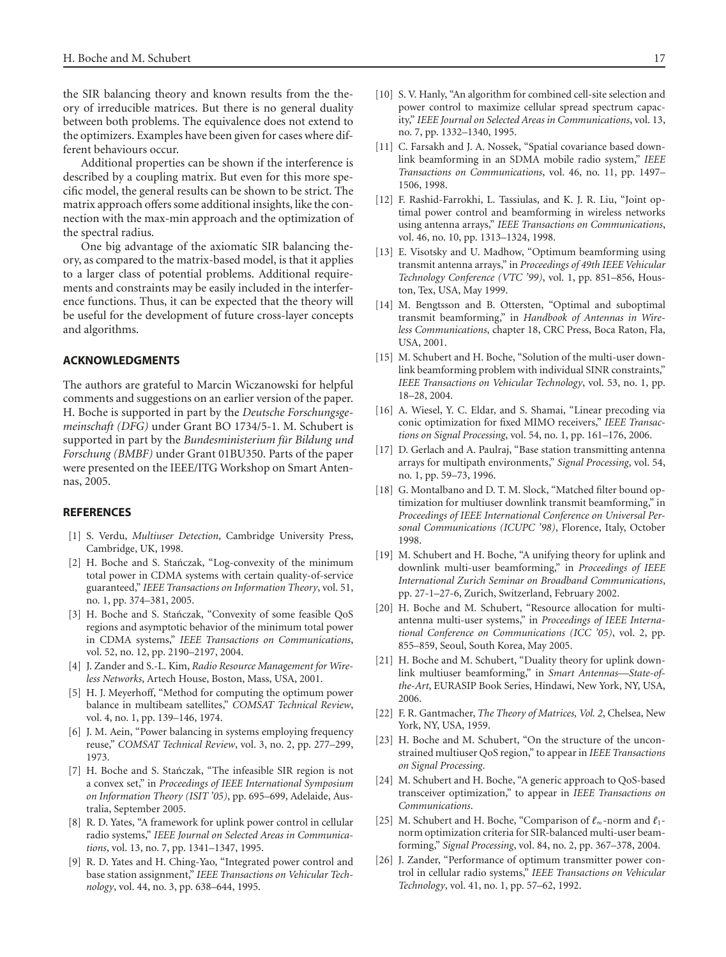the SIR balancing theory and known results from the theory of irreducible matrices. But there is no general duality between both problems. The equivalence does not extend to the optimizers. Examples have been given for cases where different behaviours occur.

Additional properties can be shown if the interference is described by a coupling matrix. But even for this more specific model, the general results can be shown to be strict. The matrix approach offers some additional insights, like the connection with the max-min approach and the optimization of the spectral radius.

One big advantage of the axiomatic SIR balancing theory, as compared to the matrix-based model, is that it applies to a larger class of potential problems. Additional requirements and constraints may be easily included in the interference functions. Thus, it can be expected that the theory will be useful for the development of future cross-layer concepts and algorithms.

# **ACKNOWLEDGMENTS**

The authors are grateful to Marcin Wiczanowski for helpful comments and suggestions on an earlier version of the paper. H. Boche is supported in part by the *Deutsche Forschungsgemeinschaft (DFG)* under Grant BO 1734/5-1. M. Schubert is supported in part by the *Bundesministerium für Bildung und Forschung (BMBF)* under Grant 01BU350. Parts of the paper were presented on the IEEE/ITG Workshop on Smart Antennas, 2005.

#### <span id="page-16-1"></span><span id="page-16-0"></span>**REFERENCES**

- [1] S. Verdu, *Multiuser Detection*, Cambridge University Press, Cambridge, UK, 1998.
- <span id="page-16-2"></span>[2] H. Boche and S. Stańczak, "Log-convexity of the minimum total power in CDMA systems with certain quality-of-service guaranteed," *IEEE Transactions on Information Theory*, vol. 51, no. 1, pp. 374–381, 2005.
- <span id="page-16-3"></span>[3] H. Boche and S. Stańczak, "Convexity of some feasible QoS regions and asymptotic behavior of the minimum total power in CDMA systems," *IEEE Transactions on Communications*, vol. 52, no. 12, pp. 2190–2197, 2004.
- <span id="page-16-4"></span>[4] J. Zander and S.-L. Kim, *Radio Resource Management for Wireless Networks*, Artech House, Boston, Mass, USA, 2001.
- <span id="page-16-5"></span>[5] H. J. Meyerhoff, "Method for computing the optimum power balance in multibeam satellites," *COMSAT Technical Review*, vol. 4, no. 1, pp. 139–146, 1974.
- <span id="page-16-6"></span>[6] J. M. Aein, "Power balancing in systems employing frequency reuse," *COMSAT Technical Review*, vol. 3, no. 2, pp. 277–299, 1973.
- <span id="page-16-7"></span>[7] H. Boche and S. Stańczak, "The infeasible SIR region is not a convex set," in *Proceedings of IEEE International Symposium on Information Theory (ISIT '05)*, pp. 695–699, Adelaide, Australia, September 2005.
- <span id="page-16-8"></span>[8] R. D. Yates, "A framework for uplink power control in cellular radio systems," *IEEE Journal on Selected Areas in Communications*, vol. 13, no. 7, pp. 1341–1347, 1995.
- <span id="page-16-9"></span>[9] R. D. Yates and H. Ching-Yao, "Integrated power control and base station assignment," *IEEE Transactions on Vehicular Technology*, vol. 44, no. 3, pp. 638–644, 1995.
- <span id="page-16-10"></span>[10] S. V. Hanly, "An algorithm for combined cell-site selection and power control to maximize cellular spread spectrum capacity," *IEEE Journal on Selected Areas in Communications*, vol. 13, no. 7, pp. 1332–1340, 1995.
- <span id="page-16-11"></span>[11] C. Farsakh and J. A. Nossek, "Spatial covariance based downlink beamforming in an SDMA mobile radio system," *IEEE Transactions on Communications*, vol. 46, no. 11, pp. 1497– 1506, 1998.
- [12] F. Rashid-Farrokhi, L. Tassiulas, and K. J. R. Liu, "Joint optimal power control and beamforming in wireless networks using antenna arrays," *IEEE Transactions on Communications*, vol. 46, no. 10, pp. 1313–1324, 1998.
- [13] E. Visotsky and U. Madhow, "Optimum beamforming using transmit antenna arrays," in *Proceedings of 49th IEEE Vehicular Technology Conference (VTC '99)*, vol. 1, pp. 851–856, Houston, Tex, USA, May 1999.
- [14] M. Bengtsson and B. Ottersten, "Optimal and suboptimal transmit beamforming," in *Handbook of Antennas in Wireless Communications*, chapter 18, CRC Press, Boca Raton, Fla, USA, 2001.
- [15] M. Schubert and H. Boche, "Solution of the multi-user downlink beamforming problem with individual SINR constraints," *IEEE Transactions on Vehicular Technology*, vol. 53, no. 1, pp. 18–28, 2004.
- <span id="page-16-12"></span>[16] A. Wiesel, Y. C. Eldar, and S. Shamai, "Linear precoding via conic optimization for fixed MIMO receivers," *IEEE Transactions on Signal Processing*, vol. 54, no. 1, pp. 161–176, 2006.
- <span id="page-16-13"></span>[17] D. Gerlach and A. Paulraj, "Base station transmitting antenna arrays for multipath environments," *Signal Processing*, vol. 54, no. 1, pp. 59–73, 1996.
- [18] G. Montalbano and D. T. M. Slock, "Matched filter bound optimization for multiuser downlink transmit beamforming," in *Proceedings of IEEE International Conference on Universal Personal Communications (ICUPC '98)*, Florence, Italy, October 1998.
- <span id="page-16-19"></span>[19] M. Schubert and H. Boche, "A unifying theory for uplink and downlink multi-user beamforming," in *Proceedings of IEEE International Zurich Seminar on Broadband Communications*, pp. 27-1–27-6, Zurich, Switzerland, February 2002.
- <span id="page-16-14"></span>[20] H. Boche and M. Schubert, "Resource allocation for multiantenna multi-user systems," in *Proceedings of IEEE International Conference on Communications (ICC '05)*, vol. 2, pp. 855–859, Seoul, South Korea, May 2005.
- <span id="page-16-15"></span>[21] H. Boche and M. Schubert, "Duality theory for uplink downlink multiuser beamforming," in *Smart Antennas—State-ofthe-Art*, EURASIP Book Series, Hindawi, New York, NY, USA, 2006.
- <span id="page-16-16"></span>[22] F. R. Gantmacher, *The Theory of Matrices, Vol. 2*, Chelsea, New York, NY, USA, 1959.
- <span id="page-16-17"></span>[23] H. Boche and M. Schubert, "On the structure of the unconstrained multiuser QoS region," to appear in *IEEE Transactions on Signal Processing*.
- <span id="page-16-18"></span>[24] M. Schubert and H. Boche, "A generic approach to QoS-based transceiver optimization," to appear in *IEEE Transactions on Communications*.
- <span id="page-16-20"></span>[25] M. Schubert and H. Boche, "Comparison of  $\ell_{\infty}$ -norm and  $\ell_1$ norm optimization criteria for SIR-balanced multi-user beamforming," *Signal Processing*, vol. 84, no. 2, pp. 367–378, 2004.
- <span id="page-16-21"></span>[26] J. Zander, "Performance of optimum transmitter power control in cellular radio systems," *IEEE Transactions on Vehicular Technology*, vol. 41, no. 1, pp. 57–62, 1992.